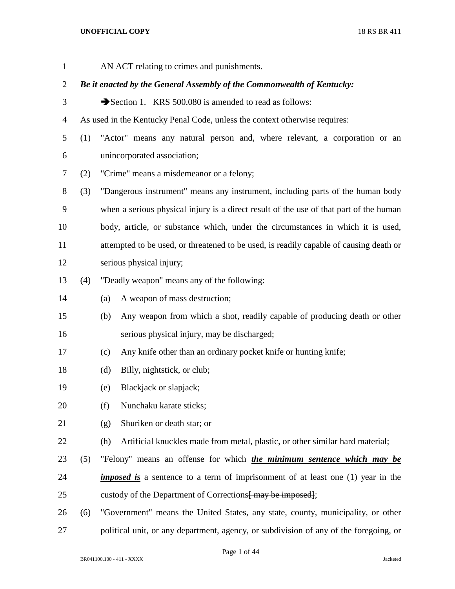| $\mathbf{1}$   |     |     | AN ACT relating to crimes and punishments.                                             |
|----------------|-----|-----|----------------------------------------------------------------------------------------|
| $\overline{2}$ |     |     | Be it enacted by the General Assembly of the Commonwealth of Kentucky:                 |
| 3              |     |     | Section 1. KRS 500.080 is amended to read as follows:                                  |
| 4              |     |     | As used in the Kentucky Penal Code, unless the context otherwise requires:             |
| 5              | (1) |     | "Actor" means any natural person and, where relevant, a corporation or an              |
| 6              |     |     | unincorporated association;                                                            |
| 7              | (2) |     | "Crime" means a misdemeanor or a felony;                                               |
| 8              | (3) |     | "Dangerous instrument" means any instrument, including parts of the human body         |
| 9              |     |     | when a serious physical injury is a direct result of the use of that part of the human |
| 10             |     |     | body, article, or substance which, under the circumstances in which it is used,        |
| 11             |     |     | attempted to be used, or threatened to be used, is readily capable of causing death or |
| 12             |     |     | serious physical injury;                                                               |
| 13             | (4) |     | "Deadly weapon" means any of the following:                                            |
| 14             |     | (a) | A weapon of mass destruction;                                                          |
| 15             |     | (b) | Any weapon from which a shot, readily capable of producing death or other              |
| 16             |     |     | serious physical injury, may be discharged;                                            |
| 17             |     | (c) | Any knife other than an ordinary pocket knife or hunting knife;                        |
| 18             |     | (d) | Billy, nightstick, or club;                                                            |
| 19             |     | (e) | Blackjack or slapjack;                                                                 |
| 20             |     | (f) | Nunchaku karate sticks;                                                                |
| 21             |     | (g) | Shuriken or death star; or                                                             |
| 22             |     | (h) | Artificial knuckles made from metal, plastic, or other similar hard material;          |
| 23             | (5) |     | "Felony" means an offense for which <i>the minimum sentence which may be</i>           |
| 24             |     |     | <i>imposed is</i> a sentence to a term of imprisonment of at least one (1) year in the |
| 25             |     |     | custody of the Department of Corrections <del>[ may be imposed]</del> ;                |
| 26             | (6) |     | "Government" means the United States, any state, county, municipality, or other        |
| 27             |     |     | political unit, or any department, agency, or subdivision of any of the foregoing, or  |
|                |     |     |                                                                                        |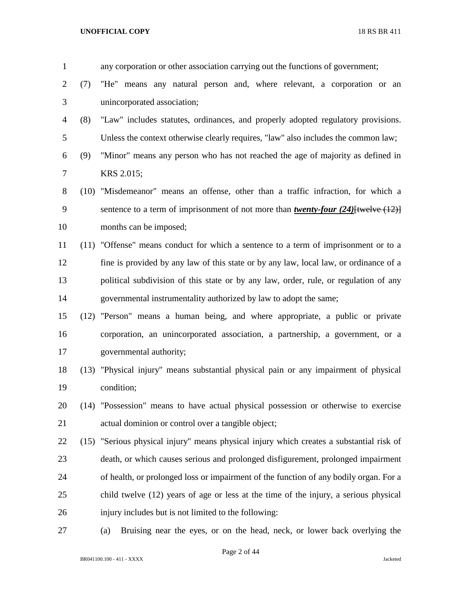|     | any corporation or other association carrying out the functions of government;                 |
|-----|------------------------------------------------------------------------------------------------|
| (7) | "He" means any natural person and, where relevant, a corporation or an                         |
|     | unincorporated association;                                                                    |
| (8) | "Law" includes statutes, ordinances, and properly adopted regulatory provisions.               |
|     | Unless the context otherwise clearly requires, "law" also includes the common law;             |
| (9) | "Minor" means any person who has not reached the age of majority as defined in                 |
|     | KRS 2.015;                                                                                     |
|     | (10) "Misdemeanor" means an offense, other than a traffic infraction, for which a              |
|     | sentence to a term of imprisonment of not more than <i>twenty-four</i> $(24)$ [twelve $(12)$ ] |
|     | months can be imposed;                                                                         |
|     | (11) "Offense" means conduct for which a sentence to a term of imprisonment or to a            |
|     | fine is provided by any law of this state or by any law, local law, or ordinance of a          |
|     | political subdivision of this state or by any law, order, rule, or regulation of any           |
|     | governmental instrumentality authorized by law to adopt the same;                              |
|     | (12) "Person" means a human being, and where appropriate, a public or private                  |
|     | corporation, an unincorporated association, a partnership, a government, or a                  |
|     | governmental authority;                                                                        |
|     | (13) "Physical injury" means substantial physical pain or any impairment of physical           |
|     | condition;                                                                                     |
|     | (14) "Possession" means to have actual physical possession or otherwise to exercise            |
|     | actual dominion or control over a tangible object;                                             |
|     | (15) "Serious physical injury" means physical injury which creates a substantial risk of       |
|     | death, or which causes serious and prolonged disfigurement, prolonged impairment               |
|     | of health, or prolonged loss or impairment of the function of any bodily organ. For a          |
|     | child twelve (12) years of age or less at the time of the injury, a serious physical           |
|     | injury includes but is not limited to the following:                                           |
|     | Bruising near the eyes, or on the head, neck, or lower back overlying the<br>(a)               |
|     |                                                                                                |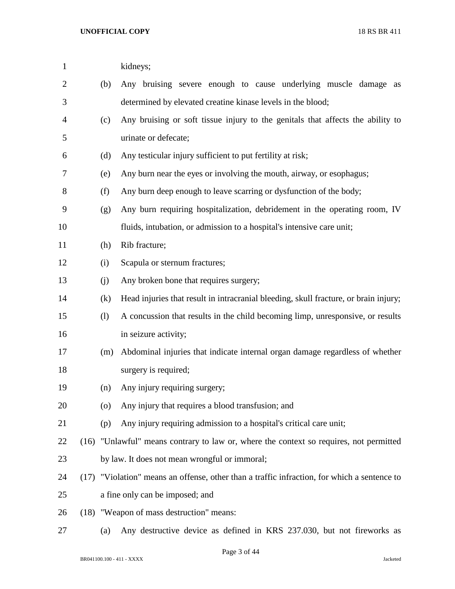| $\mathbf{1}$ |      |     | kidneys;                                                                               |
|--------------|------|-----|----------------------------------------------------------------------------------------|
| 2            |      | (b) | Any bruising severe enough to cause underlying muscle damage as                        |
| 3            |      |     | determined by elevated creatine kinase levels in the blood;                            |
| 4            |      | (c) | Any bruising or soft tissue injury to the genitals that affects the ability to         |
| 5            |      |     | urinate or defecate;                                                                   |
| 6            |      | (d) | Any testicular injury sufficient to put fertility at risk;                             |
| 7            |      | (e) | Any burn near the eyes or involving the mouth, airway, or esophagus;                   |
| 8            |      | (f) | Any burn deep enough to leave scarring or dysfunction of the body;                     |
| 9            |      | (g) | Any burn requiring hospitalization, debridement in the operating room, IV              |
| 10           |      |     | fluids, intubation, or admission to a hospital's intensive care unit;                  |
| 11           |      | (h) | Rib fracture;                                                                          |
| 12           |      | (i) | Scapula or sternum fractures;                                                          |
| 13           |      | (j) | Any broken bone that requires surgery;                                                 |
| 14           |      | (k) | Head injuries that result in intracranial bleeding, skull fracture, or brain injury;   |
| 15           |      | (1) | A concussion that results in the child becoming limp, unresponsive, or results         |
| 16           |      |     | in seizure activity;                                                                   |
| 17           |      | (m) | Abdominal injuries that indicate internal organ damage regardless of whether           |
| 18           |      |     | surgery is required;                                                                   |
| 19           |      | (n) | Any injury requiring surgery;                                                          |
| 20           |      | (0) | Any injury that requires a blood transfusion; and                                      |
| 21           |      | (p) | Any injury requiring admission to a hospital's critical care unit;                     |
| 22           |      |     | (16) "Unlawful" means contrary to law or, where the context so requires, not permitted |
| 23           |      |     | by law. It does not mean wrongful or immoral;                                          |
| 24           | (17) |     | "Violation" means an offense, other than a traffic infraction, for which a sentence to |
| 25           |      |     | a fine only can be imposed; and                                                        |
| 26           |      |     | (18) "Weapon of mass destruction" means:                                               |
| 27           |      | (a) | Any destructive device as defined in KRS 237.030, but not fireworks as                 |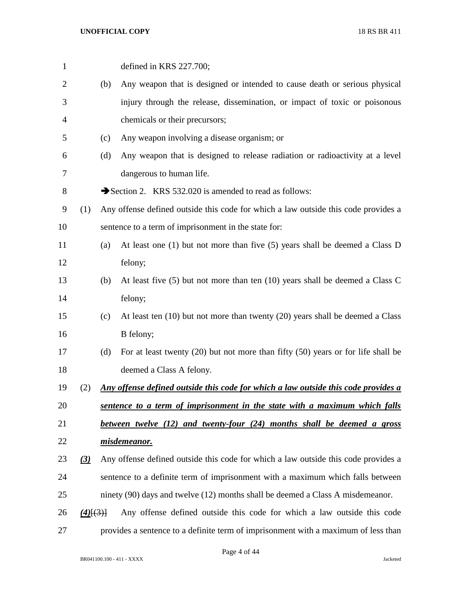| $\mathbf{1}$   |                  |     | defined in KRS 227.700;                                                                   |
|----------------|------------------|-----|-------------------------------------------------------------------------------------------|
| $\overline{2}$ |                  | (b) | Any weapon that is designed or intended to cause death or serious physical                |
| 3              |                  |     | injury through the release, dissemination, or impact of toxic or poisonous                |
| 4              |                  |     | chemicals or their precursors;                                                            |
| 5              |                  | (c) | Any weapon involving a disease organism; or                                               |
| 6              |                  | (d) | Any weapon that is designed to release radiation or radioactivity at a level              |
| 7              |                  |     | dangerous to human life.                                                                  |
| 8              |                  |     | Section 2. KRS 532.020 is amended to read as follows:                                     |
| 9              | (1)              |     | Any offense defined outside this code for which a law outside this code provides a        |
| 10             |                  |     | sentence to a term of imprisonment in the state for:                                      |
| 11             |                  | (a) | At least one $(1)$ but not more than five $(5)$ years shall be deemed a Class D           |
| 12             |                  |     | felony;                                                                                   |
| 13             |                  | (b) | At least five $(5)$ but not more than ten $(10)$ years shall be deemed a Class C          |
| 14             |                  |     | felony;                                                                                   |
| 15             |                  | (c) | At least ten $(10)$ but not more than twenty $(20)$ years shall be deemed a Class         |
| 16             |                  |     | B felony;                                                                                 |
| 17             |                  | (d) | For at least twenty $(20)$ but not more than fifty $(50)$ years or for life shall be      |
| 18             |                  |     | deemed a Class A felony.                                                                  |
| 19             | (2)              |     | <u>Any offense defined outside this code for which a law outside this code provides a</u> |
| 20             |                  |     | sentence to a term of imprisonment in the state with a maximum which falls                |
| 21             |                  |     | between twelve (12) and twenty-four (24) months shall be deemed a gross                   |
| 22             |                  |     | misdemeanor.                                                                              |
| 23             | $\left(3\right)$ |     | Any offense defined outside this code for which a law outside this code provides a        |
| 24             |                  |     | sentence to a definite term of imprisonment with a maximum which falls between            |
| 25             |                  |     | ninety (90) days and twelve (12) months shall be deemed a Class A misdemeanor.            |
| 26             | $(4)$ $(3)$ }    |     | Any offense defined outside this code for which a law outside this code                   |
| 27             |                  |     | provides a sentence to a definite term of imprisonment with a maximum of less than        |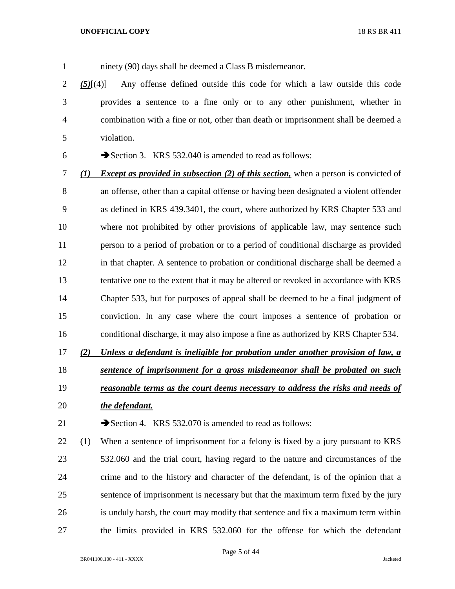1 ninety (90) days shall be deemed a Class B misdemeanor.

 *(5)*[(4)] Any offense defined outside this code for which a law outside this code provides a sentence to a fine only or to any other punishment, whether in combination with a fine or not, other than death or imprisonment shall be deemed a violation.

6  $\rightarrow$  Section 3. KRS 532.040 is amended to read as follows:

 *(1) Except as provided in subsection (2) of this section,* when a person is convicted of an offense, other than a capital offense or having been designated a violent offender as defined in KRS 439.3401, the court, where authorized by KRS Chapter 533 and where not prohibited by other provisions of applicable law, may sentence such person to a period of probation or to a period of conditional discharge as provided in that chapter. A sentence to probation or conditional discharge shall be deemed a tentative one to the extent that it may be altered or revoked in accordance with KRS Chapter 533, but for purposes of appeal shall be deemed to be a final judgment of conviction. In any case where the court imposes a sentence of probation or conditional discharge, it may also impose a fine as authorized by KRS Chapter 534.

 *(2) Unless a defendant is ineligible for probation under another provision of law, a sentence of imprisonment for a gross misdemeanor shall be probated on such* 

 *reasonable terms as the court deems necessary to address the risks and needs of the defendant.*

21  $\rightarrow$  Section 4. KRS 532.070 is amended to read as follows:

 (1) When a sentence of imprisonment for a felony is fixed by a jury pursuant to KRS 532.060 and the trial court, having regard to the nature and circumstances of the crime and to the history and character of the defendant, is of the opinion that a sentence of imprisonment is necessary but that the maximum term fixed by the jury is unduly harsh, the court may modify that sentence and fix a maximum term within the limits provided in KRS 532.060 for the offense for which the defendant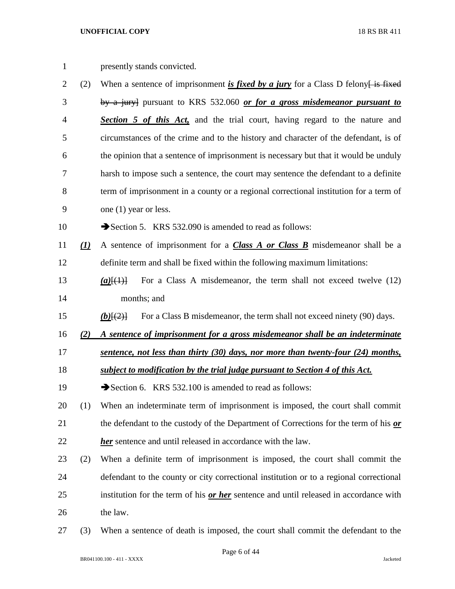| $\mathbf{1}$   |                                | presently stands convicted.                                                            |
|----------------|--------------------------------|----------------------------------------------------------------------------------------|
| $\overline{2}$ | (2)                            | When a sentence of imprisonment is fixed by a jury for a Class D felony is fixed       |
| 3              |                                | by a jury] pursuant to KRS 532.060 or for a gross misdemeanor pursuant to              |
| $\overline{4}$ |                                | <b>Section 5 of this Act</b> , and the trial court, having regard to the nature and    |
| 5              |                                | circumstances of the crime and to the history and character of the defendant, is of    |
| 6              |                                | the opinion that a sentence of imprisonment is necessary but that it would be unduly   |
| 7              |                                | harsh to impose such a sentence, the court may sentence the defendant to a definite    |
| $8\,$          |                                | term of imprisonment in a county or a regional correctional institution for a term of  |
| 9              |                                | one (1) year or less.                                                                  |
| 10             |                                | Section 5. KRS 532.090 is amended to read as follows:                                  |
| 11             | $\left( \underline{I} \right)$ | A sentence of imprisonment for a <b>Class A or Class B</b> misdemeanor shall be a      |
| 12             |                                | definite term and shall be fixed within the following maximum limitations:             |
| 13             |                                | For a Class A misdemeanor, the term shall not exceed twelve (12)<br>$(a)$ [ $(1)$ ]    |
| 14             |                                | months; and                                                                            |
| 15             |                                | For a Class B misdemeanor, the term shall not exceed ninety (90) days.<br>$(b)$ [(2)]  |
| 16             | (2)                            | A sentence of imprisonment for a gross misdemeanor shall be an indeterminate           |
| 17             |                                | sentence, not less than thirty (30) days, nor more than twenty-four (24) months,       |
| 18             |                                | subject to modification by the trial judge pursuant to Section 4 of this Act.          |
| 19             |                                | Section 6. KRS 532.100 is amended to read as follows:                                  |
| 20             | (1)                            | When an indeterminate term of imprisonment is imposed, the court shall commit          |
| 21             |                                | the defendant to the custody of the Department of Corrections for the term of his or   |
| 22             |                                | her sentence and until released in accordance with the law.                            |
| 23             | (2)                            | When a definite term of imprisonment is imposed, the court shall commit the            |
| 24             |                                | defendant to the county or city correctional institution or to a regional correctional |
| 25             |                                | institution for the term of his or her sentence and until released in accordance with  |
| 26             |                                | the law.                                                                               |
| 27             | (3)                            | When a sentence of death is imposed, the court shall commit the defendant to the       |

BR041100.100 - 411 - XXXX Jacketed

Page 6 of 44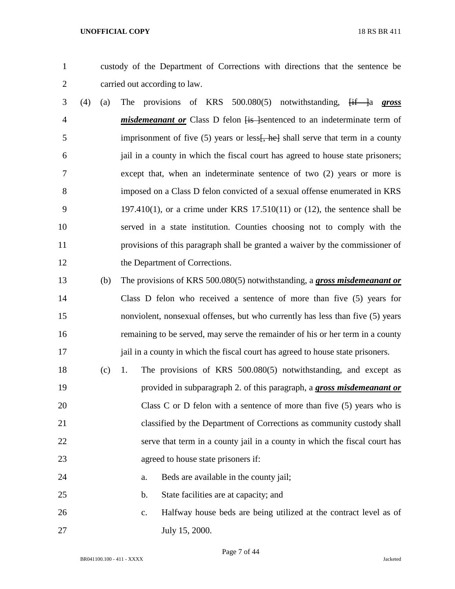custody of the Department of Corrections with directions that the sentence be carried out according to law.

- (4) (a) The provisions of KRS 500.080(5) notwithstanding, [if ]a *gross*  4 *misdemeanant or* Class D felon  $\overline{f}$  is a neterminate term of 5 imprisonment of five (5) years or less<del>[, he]</del> shall serve that term in a county jail in a county in which the fiscal court has agreed to house state prisoners; except that, when an indeterminate sentence of two (2) years or more is imposed on a Class D felon convicted of a sexual offense enumerated in KRS 197.410(1), or a crime under KRS 17.510(11) or (12), the sentence shall be served in a state institution. Counties choosing not to comply with the provisions of this paragraph shall be granted a waiver by the commissioner of 12 the Department of Corrections.
- (b) The provisions of KRS 500.080(5) notwithstanding, a *gross misdemeanant or* Class D felon who received a sentence of more than five (5) years for nonviolent, nonsexual offenses, but who currently has less than five (5) years remaining to be served, may serve the remainder of his or her term in a county 17 jail in a county in which the fiscal court has agreed to house state prisoners.
- (c) 1. The provisions of KRS 500.080(5) notwithstanding, and except as provided in subparagraph 2. of this paragraph, a *gross misdemeanant or* 20 Class C or D felon with a sentence of more than five (5) years who is classified by the Department of Corrections as community custody shall serve that term in a county jail in a county in which the fiscal court has agreed to house state prisoners if:
- a. Beds are available in the county jail;
- b. State facilities are at capacity; and
- c. Halfway house beds are being utilized at the contract level as of July 15, 2000.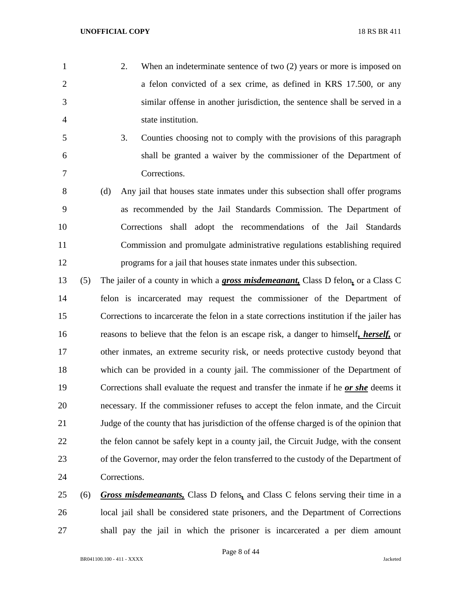- 2. When an indeterminate sentence of two (2) years or more is imposed on a felon convicted of a sex crime, as defined in KRS 17.500, or any similar offense in another jurisdiction, the sentence shall be served in a state institution.
- 3. Counties choosing not to comply with the provisions of this paragraph shall be granted a waiver by the commissioner of the Department of Corrections.
- (d) Any jail that houses state inmates under this subsection shall offer programs as recommended by the Jail Standards Commission. The Department of Corrections shall adopt the recommendations of the Jail Standards Commission and promulgate administrative regulations establishing required programs for a jail that houses state inmates under this subsection.
- (5) The jailer of a county in which a *gross misdemeanant,* Class D felon*,* or a Class C felon is incarcerated may request the commissioner of the Department of Corrections to incarcerate the felon in a state corrections institution if the jailer has reasons to believe that the felon is an escape risk, a danger to himself*, herself,* or other inmates, an extreme security risk, or needs protective custody beyond that which can be provided in a county jail. The commissioner of the Department of Corrections shall evaluate the request and transfer the inmate if he *or she* deems it necessary. If the commissioner refuses to accept the felon inmate, and the Circuit Judge of the county that has jurisdiction of the offense charged is of the opinion that 22 the felon cannot be safely kept in a county jail, the Circuit Judge, with the consent of the Governor, may order the felon transferred to the custody of the Department of Corrections.
- (6) *Gross misdemeanants,* Class D felons*,* and Class C felons serving their time in a local jail shall be considered state prisoners, and the Department of Corrections shall pay the jail in which the prisoner is incarcerated a per diem amount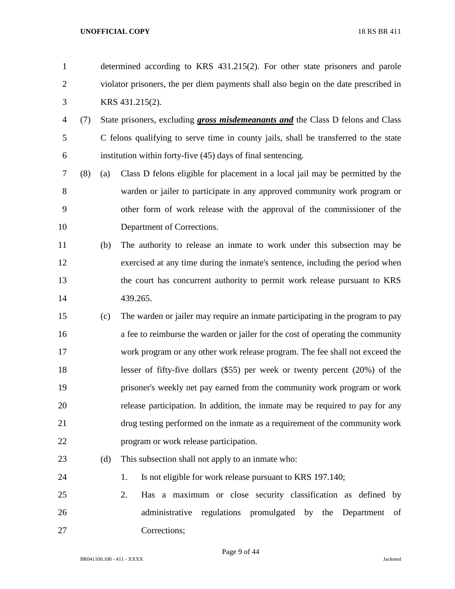| $\mathbf{1}$   |     |     | determined according to KRS 431.215(2). For other state prisoners and parole           |  |  |  |  |
|----------------|-----|-----|----------------------------------------------------------------------------------------|--|--|--|--|
| $\overline{c}$ |     |     | violator prisoners, the per diem payments shall also begin on the date prescribed in   |  |  |  |  |
| 3              |     |     | KRS 431.215(2).                                                                        |  |  |  |  |
| 4              | (7) |     | State prisoners, excluding <i>gross misdemeanants and</i> the Class D felons and Class |  |  |  |  |
| 5              |     |     | C felons qualifying to serve time in county jails, shall be transferred to the state   |  |  |  |  |
| 6              |     |     | institution within forty-five (45) days of final sentencing.                           |  |  |  |  |
| 7              | (8) | (a) | Class D felons eligible for placement in a local jail may be permitted by the          |  |  |  |  |
| $8\,$          |     |     | warden or jailer to participate in any approved community work program or              |  |  |  |  |
| 9              |     |     | other form of work release with the approval of the commissioner of the                |  |  |  |  |
| 10             |     |     | Department of Corrections.                                                             |  |  |  |  |
| 11             |     | (b) | The authority to release an inmate to work under this subsection may be                |  |  |  |  |
| 12             |     |     | exercised at any time during the inmate's sentence, including the period when          |  |  |  |  |
| 13             |     |     | the court has concurrent authority to permit work release pursuant to KRS              |  |  |  |  |
| 14             |     |     | 439.265.                                                                               |  |  |  |  |
| 15             |     | (c) | The warden or jailer may require an inmate participating in the program to pay         |  |  |  |  |
| 16             |     |     | a fee to reimburse the warden or jailer for the cost of operating the community        |  |  |  |  |
| 17             |     |     | work program or any other work release program. The fee shall not exceed the           |  |  |  |  |
| 18             |     |     | lesser of fifty-five dollars $(\$55)$ per week or twenty percent $(20\%)$ of the       |  |  |  |  |
| 19             |     |     | prisoner's weekly net pay earned from the community work program or work               |  |  |  |  |
| 20             |     |     | release participation. In addition, the inmate may be required to pay for any          |  |  |  |  |
| 21             |     |     | drug testing performed on the inmate as a requirement of the community work            |  |  |  |  |
| 22             |     |     | program or work release participation.                                                 |  |  |  |  |
| 23             |     | (d) | This subsection shall not apply to an inmate who:                                      |  |  |  |  |
| 24             |     |     | Is not eligible for work release pursuant to KRS 197.140;<br>1.                        |  |  |  |  |
| 25             |     |     | 2.<br>Has a maximum or close security classification as defined<br>by                  |  |  |  |  |
| 26             |     |     | administrative regulations promulgated by the Department<br>of                         |  |  |  |  |
| 27             |     |     | Corrections;                                                                           |  |  |  |  |

Page 9 of 44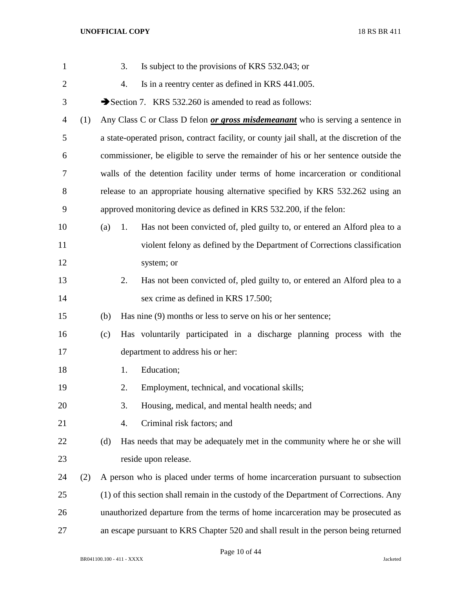| $\mathbf{1}$   |     |     | 3. | Is subject to the provisions of KRS 532.043; or                                            |
|----------------|-----|-----|----|--------------------------------------------------------------------------------------------|
| $\overline{2}$ |     |     | 4. | Is in a reentry center as defined in KRS 441.005.                                          |
| 3              |     |     |    | Section 7. KRS 532.260 is amended to read as follows:                                      |
| 4              | (1) |     |    | Any Class C or Class D felon <i>or gross misdemeanant</i> who is serving a sentence in     |
| 5              |     |     |    | a state-operated prison, contract facility, or county jail shall, at the discretion of the |
| 6              |     |     |    | commissioner, be eligible to serve the remainder of his or her sentence outside the        |
| 7              |     |     |    | walls of the detention facility under terms of home incarceration or conditional           |
| 8              |     |     |    | release to an appropriate housing alternative specified by KRS 532.262 using an            |
| 9              |     |     |    | approved monitoring device as defined in KRS 532.200, if the felon:                        |
| 10             |     | (a) | 1. | Has not been convicted of, pled guilty to, or entered an Alford plea to a                  |
| 11             |     |     |    | violent felony as defined by the Department of Corrections classification                  |
| 12             |     |     |    | system; or                                                                                 |
| 13             |     |     | 2. | Has not been convicted of, pled guilty to, or entered an Alford plea to a                  |
| 14             |     |     |    | sex crime as defined in KRS 17.500;                                                        |
| 15             |     | (b) |    | Has nine (9) months or less to serve on his or her sentence;                               |
| 16             |     | (c) |    | Has voluntarily participated in a discharge planning process with the                      |
| 17             |     |     |    | department to address his or her:                                                          |
| 18             |     |     | 1. | Education;                                                                                 |
| 19             |     |     | 2. | Employment, technical, and vocational skills;                                              |
| 20             |     |     | 3. | Housing, medical, and mental health needs; and                                             |
| 21             |     |     | 4. | Criminal risk factors; and                                                                 |
| 22             |     | (d) |    | Has needs that may be adequately met in the community where he or she will                 |
| 23             |     |     |    | reside upon release.                                                                       |
| 24             | (2) |     |    | A person who is placed under terms of home incarceration pursuant to subsection            |
| 25             |     |     |    | (1) of this section shall remain in the custody of the Department of Corrections. Any      |
| 26             |     |     |    | unauthorized departure from the terms of home incarceration may be prosecuted as           |
| 27             |     |     |    | an escape pursuant to KRS Chapter 520 and shall result in the person being returned        |

Page 10 of 44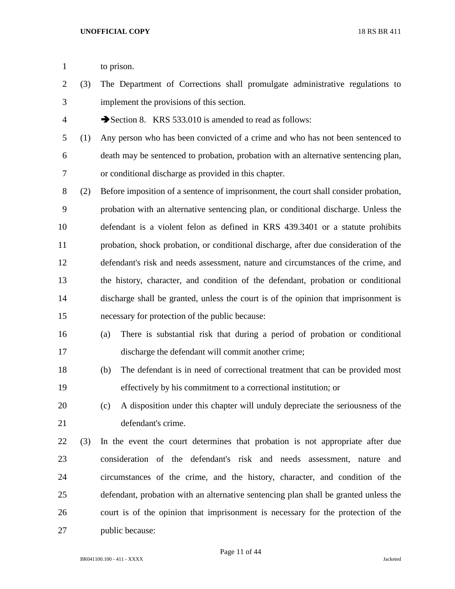- 1 to prison.
- (3) The Department of Corrections shall promulgate administrative regulations to implement the provisions of this section.
- 4 Section 8. KRS 533.010 is amended to read as follows:
- (1) Any person who has been convicted of a crime and who has not been sentenced to death may be sentenced to probation, probation with an alternative sentencing plan, or conditional discharge as provided in this chapter.
- (2) Before imposition of a sentence of imprisonment, the court shall consider probation, probation with an alternative sentencing plan, or conditional discharge. Unless the defendant is a violent felon as defined in KRS 439.3401 or a statute prohibits probation, shock probation, or conditional discharge, after due consideration of the defendant's risk and needs assessment, nature and circumstances of the crime, and the history, character, and condition of the defendant, probation or conditional discharge shall be granted, unless the court is of the opinion that imprisonment is necessary for protection of the public because:
- (a) There is substantial risk that during a period of probation or conditional discharge the defendant will commit another crime;
- (b) The defendant is in need of correctional treatment that can be provided most effectively by his commitment to a correctional institution; or
- (c) A disposition under this chapter will unduly depreciate the seriousness of the defendant's crime.
- (3) In the event the court determines that probation is not appropriate after due consideration of the defendant's risk and needs assessment, nature and circumstances of the crime, and the history, character, and condition of the defendant, probation with an alternative sentencing plan shall be granted unless the court is of the opinion that imprisonment is necessary for the protection of the public because: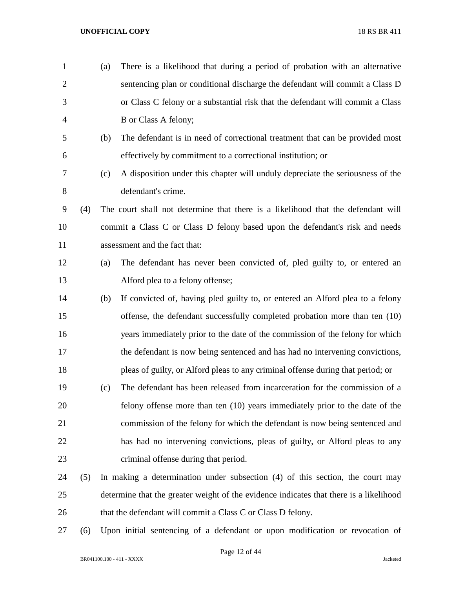| $\mathbf{1}$   |     | (a) | There is a likelihood that during a period of probation with an alternative            |
|----------------|-----|-----|----------------------------------------------------------------------------------------|
| $\overline{2}$ |     |     | sentencing plan or conditional discharge the defendant will commit a Class D           |
| 3              |     |     | or Class C felony or a substantial risk that the defendant will commit a Class         |
| 4              |     |     | B or Class A felony;                                                                   |
| 5              |     | (b) | The defendant is in need of correctional treatment that can be provided most           |
| 6              |     |     | effectively by commitment to a correctional institution; or                            |
| 7              |     | (c) | A disposition under this chapter will unduly depreciate the seriousness of the         |
| 8              |     |     | defendant's crime.                                                                     |
| 9              | (4) |     | The court shall not determine that there is a likelihood that the defendant will       |
| 10             |     |     | commit a Class C or Class D felony based upon the defendant's risk and needs           |
| 11             |     |     | assessment and the fact that:                                                          |
| 12             |     | (a) | The defendant has never been convicted of, pled guilty to, or entered an               |
| 13             |     |     | Alford plea to a felony offense;                                                       |
| 14             |     | (b) | If convicted of, having pled guilty to, or entered an Alford plea to a felony          |
| 15             |     |     | offense, the defendant successfully completed probation more than ten (10)             |
| 16             |     |     | years immediately prior to the date of the commission of the felony for which          |
| 17             |     |     | the defendant is now being sentenced and has had no intervening convictions,           |
| 18             |     |     | pleas of guilty, or Alford pleas to any criminal offense during that period; or        |
| 19             |     | (c) | The defendant has been released from incarceration for the commission of a             |
| 20             |     |     | felony offense more than ten (10) years immediately prior to the date of the           |
| 21             |     |     | commission of the felony for which the defendant is now being sentenced and            |
| 22             |     |     | has had no intervening convictions, pleas of guilty, or Alford pleas to any            |
| 23             |     |     | criminal offense during that period.                                                   |
| 24             | (5) |     | In making a determination under subsection (4) of this section, the court may          |
| 25             |     |     | determine that the greater weight of the evidence indicates that there is a likelihood |
| 26             |     |     | that the defendant will commit a Class C or Class D felony.                            |
| $\mathbf{z}$   |     |     |                                                                                        |

(6) Upon initial sentencing of a defendant or upon modification or revocation of

Page 12 of 44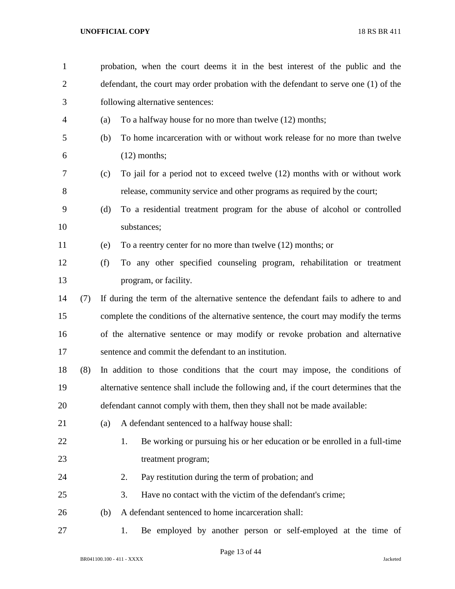| $\mathbf{1}$   |     |     | probation, when the court deems it in the best interest of the public and the          |  |  |  |  |
|----------------|-----|-----|----------------------------------------------------------------------------------------|--|--|--|--|
| $\overline{2}$ |     |     | defendant, the court may order probation with the defendant to serve one (1) of the    |  |  |  |  |
| 3              |     |     | following alternative sentences:                                                       |  |  |  |  |
| 4              |     | (a) | To a halfway house for no more than twelve (12) months;                                |  |  |  |  |
| 5              |     | (b) | To home incarceration with or without work release for no more than twelve             |  |  |  |  |
| 6              |     |     | $(12)$ months;                                                                         |  |  |  |  |
| 7              |     | (c) | To jail for a period not to exceed twelve (12) months with or without work             |  |  |  |  |
| 8              |     |     | release, community service and other programs as required by the court;                |  |  |  |  |
| 9              |     | (d) | To a residential treatment program for the abuse of alcohol or controlled              |  |  |  |  |
| 10             |     |     | substances;                                                                            |  |  |  |  |
| 11             |     | (e) | To a reentry center for no more than twelve (12) months; or                            |  |  |  |  |
| 12             |     | (f) | To any other specified counseling program, rehabilitation or treatment                 |  |  |  |  |
| 13             |     |     | program, or facility.                                                                  |  |  |  |  |
| 14             | (7) |     | If during the term of the alternative sentence the defendant fails to adhere to and    |  |  |  |  |
| 15             |     |     | complete the conditions of the alternative sentence, the court may modify the terms    |  |  |  |  |
| 16             |     |     | of the alternative sentence or may modify or revoke probation and alternative          |  |  |  |  |
| 17             |     |     | sentence and commit the defendant to an institution.                                   |  |  |  |  |
| 18             | (8) |     | In addition to those conditions that the court may impose, the conditions of           |  |  |  |  |
| 19             |     |     | alternative sentence shall include the following and, if the court determines that the |  |  |  |  |
| 20             |     |     | defendant cannot comply with them, then they shall not be made available:              |  |  |  |  |
| 21             |     | (a) | A defendant sentenced to a halfway house shall:                                        |  |  |  |  |
| 22             |     |     | Be working or pursuing his or her education or be enrolled in a full-time<br>1.        |  |  |  |  |
| 23             |     |     | treatment program;                                                                     |  |  |  |  |
| 24             |     |     | Pay restitution during the term of probation; and<br>2.                                |  |  |  |  |
| 25             |     |     | 3.<br>Have no contact with the victim of the defendant's crime;                        |  |  |  |  |
| 26             |     | (b) | A defendant sentenced to home incarceration shall:                                     |  |  |  |  |
| 27             |     |     | Be employed by another person or self-employed at the time of<br>1.                    |  |  |  |  |

Page 13 of 44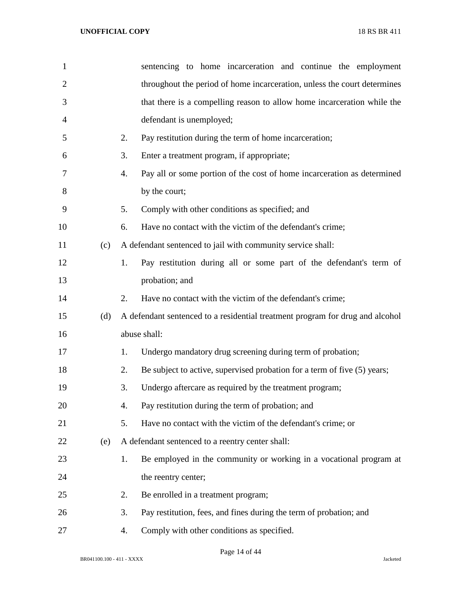| $\mathbf{1}$   |     | sentencing to home incarceration and continue the employment                   |
|----------------|-----|--------------------------------------------------------------------------------|
| $\overline{2}$ |     | throughout the period of home incarceration, unless the court determines       |
| 3              |     | that there is a compelling reason to allow home incarceration while the        |
| 4              |     | defendant is unemployed;                                                       |
| 5              |     | 2.<br>Pay restitution during the term of home incarceration;                   |
| 6              |     | 3.<br>Enter a treatment program, if appropriate;                               |
| 7              |     | Pay all or some portion of the cost of home incarceration as determined<br>4.  |
| 8              |     | by the court;                                                                  |
| 9              |     | 5.<br>Comply with other conditions as specified; and                           |
| 10             |     | Have no contact with the victim of the defendant's crime;<br>6.                |
| 11             | (c) | A defendant sentenced to jail with community service shall:                    |
| 12             |     | Pay restitution during all or some part of the defendant's term of<br>1.       |
| 13             |     | probation; and                                                                 |
| 14             |     | 2.<br>Have no contact with the victim of the defendant's crime;                |
| 15             | (d) | A defendant sentenced to a residential treatment program for drug and alcohol  |
| 16             |     | abuse shall:                                                                   |
| 17             |     | Undergo mandatory drug screening during term of probation;<br>1.               |
| 18             |     | Be subject to active, supervised probation for a term of five (5) years;<br>2. |
| 19             |     | 3.<br>Undergo aftercare as required by the treatment program;                  |
| 20             |     | Pay restitution during the term of probation; and<br>4.                        |
| 21             |     | 5.<br>Have no contact with the victim of the defendant's crime; or             |
| 22             | (e) | A defendant sentenced to a reentry center shall:                               |
| 23             |     | Be employed in the community or working in a vocational program at<br>1.       |
| 24             |     | the reentry center;                                                            |
| 25             |     | 2.<br>Be enrolled in a treatment program;                                      |
| 26             |     | 3.<br>Pay restitution, fees, and fines during the term of probation; and       |
| 27             |     | Comply with other conditions as specified.<br>4.                               |

Page 14 of 44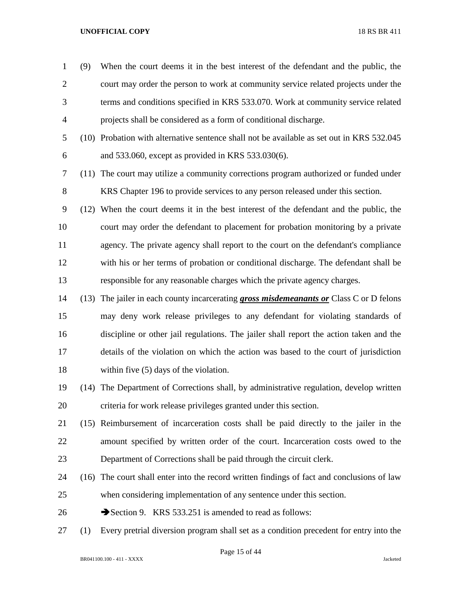- (9) When the court deems it in the best interest of the defendant and the public, the court may order the person to work at community service related projects under the terms and conditions specified in KRS 533.070. Work at community service related projects shall be considered as a form of conditional discharge.
- (10) Probation with alternative sentence shall not be available as set out in KRS 532.045 and 533.060, except as provided in KRS 533.030(6).
- (11) The court may utilize a community corrections program authorized or funded under KRS Chapter 196 to provide services to any person released under this section.
- (12) When the court deems it in the best interest of the defendant and the public, the court may order the defendant to placement for probation monitoring by a private agency. The private agency shall report to the court on the defendant's compliance with his or her terms of probation or conditional discharge. The defendant shall be responsible for any reasonable charges which the private agency charges.
- (13) The jailer in each county incarcerating *gross misdemeanants or* Class C or D felons may deny work release privileges to any defendant for violating standards of discipline or other jail regulations. The jailer shall report the action taken and the details of the violation on which the action was based to the court of jurisdiction within five (5) days of the violation.
- (14) The Department of Corrections shall, by administrative regulation, develop written criteria for work release privileges granted under this section.
- (15) Reimbursement of incarceration costs shall be paid directly to the jailer in the amount specified by written order of the court. Incarceration costs owed to the Department of Corrections shall be paid through the circuit clerk.
- (16) The court shall enter into the record written findings of fact and conclusions of law when considering implementation of any sentence under this section.
- 26 Section 9. KRS 533.251 is amended to read as follows:
- (1) Every pretrial diversion program shall set as a condition precedent for entry into the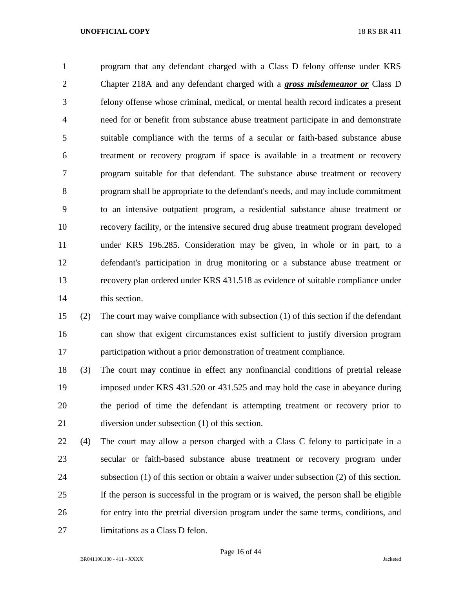program that any defendant charged with a Class D felony offense under KRS Chapter 218A and any defendant charged with a *gross misdemeanor or* Class D felony offense whose criminal, medical, or mental health record indicates a present need for or benefit from substance abuse treatment participate in and demonstrate suitable compliance with the terms of a secular or faith-based substance abuse treatment or recovery program if space is available in a treatment or recovery program suitable for that defendant. The substance abuse treatment or recovery program shall be appropriate to the defendant's needs, and may include commitment to an intensive outpatient program, a residential substance abuse treatment or recovery facility, or the intensive secured drug abuse treatment program developed under KRS 196.285. Consideration may be given, in whole or in part, to a defendant's participation in drug monitoring or a substance abuse treatment or recovery plan ordered under KRS 431.518 as evidence of suitable compliance under this section.

 (2) The court may waive compliance with subsection (1) of this section if the defendant can show that exigent circumstances exist sufficient to justify diversion program participation without a prior demonstration of treatment compliance.

 (3) The court may continue in effect any nonfinancial conditions of pretrial release imposed under KRS 431.520 or 431.525 and may hold the case in abeyance during the period of time the defendant is attempting treatment or recovery prior to diversion under subsection (1) of this section.

 (4) The court may allow a person charged with a Class C felony to participate in a secular or faith-based substance abuse treatment or recovery program under subsection (1) of this section or obtain a waiver under subsection (2) of this section. If the person is successful in the program or is waived, the person shall be eligible for entry into the pretrial diversion program under the same terms, conditions, and limitations as a Class D felon.

Page 16 of 44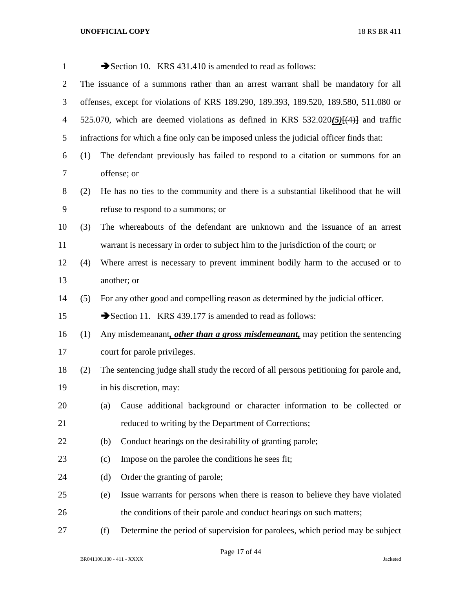| $\mathbf{1}$   |                                                                                       |     | Section 10. KRS 431.410 is amended to read as follows:                                     |  |  |
|----------------|---------------------------------------------------------------------------------------|-----|--------------------------------------------------------------------------------------------|--|--|
| $\overline{2}$ | The issuance of a summons rather than an arrest warrant shall be mandatory for all    |     |                                                                                            |  |  |
| 3              | offenses, except for violations of KRS 189.290, 189.393, 189.520, 189.580, 511.080 or |     |                                                                                            |  |  |
| $\overline{4}$ |                                                                                       |     | 525.070, which are deemed violations as defined in KRS 532.020 $(5)$ [ $(4)$ ] and traffic |  |  |
| 5              |                                                                                       |     | infractions for which a fine only can be imposed unless the judicial officer finds that:   |  |  |
| 6              | (1)                                                                                   |     | The defendant previously has failed to respond to a citation or summons for an             |  |  |
| 7              |                                                                                       |     | offense; or                                                                                |  |  |
| 8              | (2)                                                                                   |     | He has no ties to the community and there is a substantial likelihood that he will         |  |  |
| 9              |                                                                                       |     | refuse to respond to a summons; or                                                         |  |  |
| 10             | (3)                                                                                   |     | The whereabouts of the defendant are unknown and the issuance of an arrest                 |  |  |
| 11             |                                                                                       |     | warrant is necessary in order to subject him to the jurisdiction of the court; or          |  |  |
| 12             | (4)                                                                                   |     | Where arrest is necessary to prevent imminent bodily harm to the accused or to             |  |  |
| 13             |                                                                                       |     | another; or                                                                                |  |  |
| 14             | (5)                                                                                   |     | For any other good and compelling reason as determined by the judicial officer.            |  |  |
| 15             |                                                                                       |     | Section 11. KRS 439.177 is amended to read as follows:                                     |  |  |
| 16             | (1)                                                                                   |     | Any misdemeanant, other than a gross misdemeanant, may petition the sentencing             |  |  |
| 17             |                                                                                       |     | court for parole privileges.                                                               |  |  |
| 18             | (2)                                                                                   |     | The sentencing judge shall study the record of all persons petitioning for parole and,     |  |  |
| 19             |                                                                                       |     | in his discretion, may:                                                                    |  |  |
| 20             |                                                                                       | (a) | Cause additional background or character information to be collected or                    |  |  |
| 21             |                                                                                       |     | reduced to writing by the Department of Corrections;                                       |  |  |
| 22             |                                                                                       | (b) | Conduct hearings on the desirability of granting parole;                                   |  |  |
| 23             |                                                                                       | (c) | Impose on the parolee the conditions he sees fit;                                          |  |  |
| 24             |                                                                                       | (d) | Order the granting of parole;                                                              |  |  |
| 25             |                                                                                       | (e) | Issue warrants for persons when there is reason to believe they have violated              |  |  |
| 26             |                                                                                       |     | the conditions of their parole and conduct hearings on such matters;                       |  |  |
| 27             |                                                                                       | (f) | Determine the period of supervision for parolees, which period may be subject              |  |  |

Page 17 of 44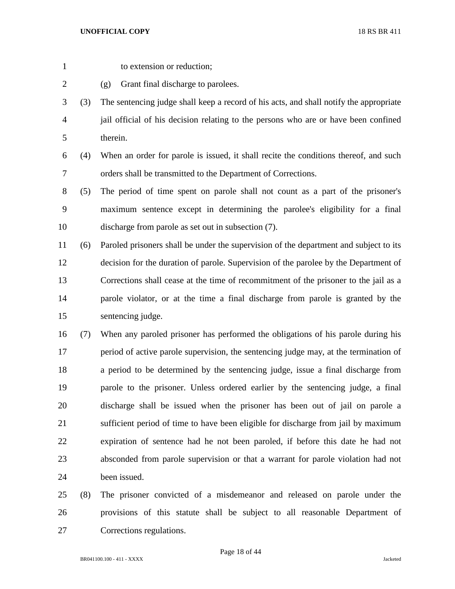- 
- to extension or reduction;
- (g) Grant final discharge to parolees.
- (3) The sentencing judge shall keep a record of his acts, and shall notify the appropriate jail official of his decision relating to the persons who are or have been confined therein.
- (4) When an order for parole is issued, it shall recite the conditions thereof, and such orders shall be transmitted to the Department of Corrections.
- (5) The period of time spent on parole shall not count as a part of the prisoner's maximum sentence except in determining the parolee's eligibility for a final discharge from parole as set out in subsection (7).
- (6) Paroled prisoners shall be under the supervision of the department and subject to its decision for the duration of parole. Supervision of the parolee by the Department of Corrections shall cease at the time of recommitment of the prisoner to the jail as a parole violator, or at the time a final discharge from parole is granted by the sentencing judge.
- (7) When any paroled prisoner has performed the obligations of his parole during his period of active parole supervision, the sentencing judge may, at the termination of a period to be determined by the sentencing judge, issue a final discharge from parole to the prisoner. Unless ordered earlier by the sentencing judge, a final discharge shall be issued when the prisoner has been out of jail on parole a sufficient period of time to have been eligible for discharge from jail by maximum expiration of sentence had he not been paroled, if before this date he had not absconded from parole supervision or that a warrant for parole violation had not been issued.
- (8) The prisoner convicted of a misdemeanor and released on parole under the provisions of this statute shall be subject to all reasonable Department of Corrections regulations.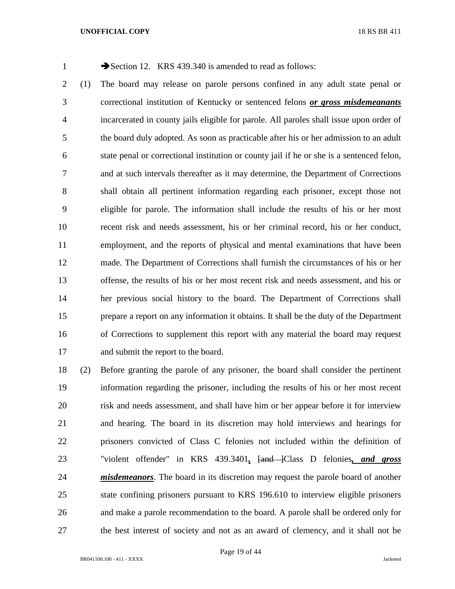1 Section 12. KRS 439.340 is amended to read as follows:

 (1) The board may release on parole persons confined in any adult state penal or correctional institution of Kentucky or sentenced felons *or gross misdemeanants* incarcerated in county jails eligible for parole. All paroles shall issue upon order of the board duly adopted. As soon as practicable after his or her admission to an adult state penal or correctional institution or county jail if he or she is a sentenced felon, and at such intervals thereafter as it may determine, the Department of Corrections shall obtain all pertinent information regarding each prisoner, except those not eligible for parole. The information shall include the results of his or her most recent risk and needs assessment, his or her criminal record, his or her conduct, employment, and the reports of physical and mental examinations that have been made. The Department of Corrections shall furnish the circumstances of his or her offense, the results of his or her most recent risk and needs assessment, and his or her previous social history to the board. The Department of Corrections shall prepare a report on any information it obtains. It shall be the duty of the Department of Corrections to supplement this report with any material the board may request and submit the report to the board.

 (2) Before granting the parole of any prisoner, the board shall consider the pertinent information regarding the prisoner, including the results of his or her most recent risk and needs assessment, and shall have him or her appear before it for interview and hearing. The board in its discretion may hold interviews and hearings for prisoners convicted of Class C felonies not included within the definition of "violent offender" in KRS 439.3401*,* [and ]Class D felonies*, and gross misdemeanors*. The board in its discretion may request the parole board of another state confining prisoners pursuant to KRS 196.610 to interview eligible prisoners and make a parole recommendation to the board. A parole shall be ordered only for the best interest of society and not as an award of clemency, and it shall not be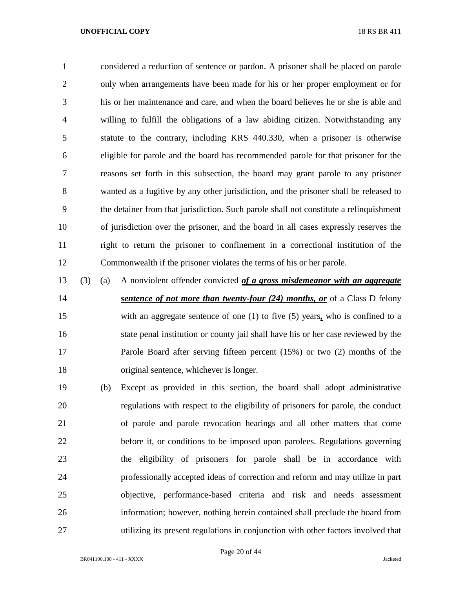considered a reduction of sentence or pardon. A prisoner shall be placed on parole only when arrangements have been made for his or her proper employment or for his or her maintenance and care, and when the board believes he or she is able and willing to fulfill the obligations of a law abiding citizen. Notwithstanding any statute to the contrary, including KRS 440.330, when a prisoner is otherwise eligible for parole and the board has recommended parole for that prisoner for the reasons set forth in this subsection, the board may grant parole to any prisoner wanted as a fugitive by any other jurisdiction, and the prisoner shall be released to the detainer from that jurisdiction. Such parole shall not constitute a relinquishment of jurisdiction over the prisoner, and the board in all cases expressly reserves the right to return the prisoner to confinement in a correctional institution of the Commonwealth if the prisoner violates the terms of his or her parole.

 (3) (a) A nonviolent offender convicted *of a gross misdemeanor with an aggregate sentence of not more than twenty-four (24) months, or* of a Class D felony with an aggregate sentence of one (1) to five (5) years*,* who is confined to a state penal institution or county jail shall have his or her case reviewed by the Parole Board after serving fifteen percent (15%) or two (2) months of the original sentence, whichever is longer.

 (b) Except as provided in this section, the board shall adopt administrative regulations with respect to the eligibility of prisoners for parole, the conduct of parole and parole revocation hearings and all other matters that come before it, or conditions to be imposed upon parolees. Regulations governing the eligibility of prisoners for parole shall be in accordance with professionally accepted ideas of correction and reform and may utilize in part objective, performance-based criteria and risk and needs assessment information; however, nothing herein contained shall preclude the board from utilizing its present regulations in conjunction with other factors involved that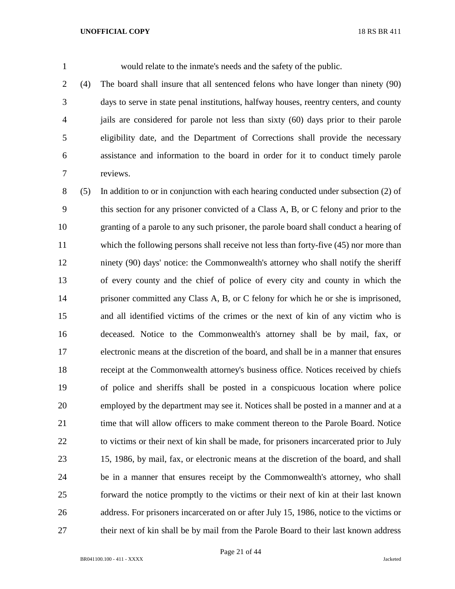would relate to the inmate's needs and the safety of the public.

 (4) The board shall insure that all sentenced felons who have longer than ninety (90) days to serve in state penal institutions, halfway houses, reentry centers, and county jails are considered for parole not less than sixty (60) days prior to their parole eligibility date, and the Department of Corrections shall provide the necessary assistance and information to the board in order for it to conduct timely parole reviews.

 (5) In addition to or in conjunction with each hearing conducted under subsection (2) of this section for any prisoner convicted of a Class A, B, or C felony and prior to the granting of a parole to any such prisoner, the parole board shall conduct a hearing of which the following persons shall receive not less than forty-five (45) nor more than ninety (90) days' notice: the Commonwealth's attorney who shall notify the sheriff of every county and the chief of police of every city and county in which the prisoner committed any Class A, B, or C felony for which he or she is imprisoned, and all identified victims of the crimes or the next of kin of any victim who is deceased. Notice to the Commonwealth's attorney shall be by mail, fax, or electronic means at the discretion of the board, and shall be in a manner that ensures receipt at the Commonwealth attorney's business office. Notices received by chiefs of police and sheriffs shall be posted in a conspicuous location where police employed by the department may see it. Notices shall be posted in a manner and at a time that will allow officers to make comment thereon to the Parole Board. Notice to victims or their next of kin shall be made, for prisoners incarcerated prior to July 15, 1986, by mail, fax, or electronic means at the discretion of the board, and shall be in a manner that ensures receipt by the Commonwealth's attorney, who shall forward the notice promptly to the victims or their next of kin at their last known address. For prisoners incarcerated on or after July 15, 1986, notice to the victims or their next of kin shall be by mail from the Parole Board to their last known address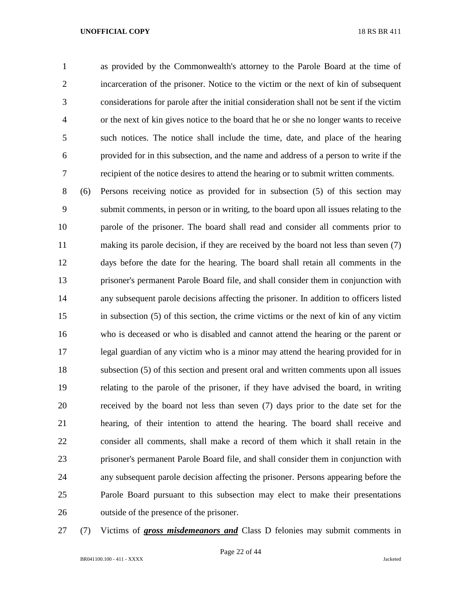as provided by the Commonwealth's attorney to the Parole Board at the time of incarceration of the prisoner. Notice to the victim or the next of kin of subsequent considerations for parole after the initial consideration shall not be sent if the victim or the next of kin gives notice to the board that he or she no longer wants to receive such notices. The notice shall include the time, date, and place of the hearing provided for in this subsection, and the name and address of a person to write if the recipient of the notice desires to attend the hearing or to submit written comments.

 (6) Persons receiving notice as provided for in subsection (5) of this section may submit comments, in person or in writing, to the board upon all issues relating to the parole of the prisoner. The board shall read and consider all comments prior to 11 making its parole decision, if they are received by the board not less than seven (7) days before the date for the hearing. The board shall retain all comments in the prisoner's permanent Parole Board file, and shall consider them in conjunction with any subsequent parole decisions affecting the prisoner. In addition to officers listed in subsection (5) of this section, the crime victims or the next of kin of any victim who is deceased or who is disabled and cannot attend the hearing or the parent or legal guardian of any victim who is a minor may attend the hearing provided for in subsection (5) of this section and present oral and written comments upon all issues relating to the parole of the prisoner, if they have advised the board, in writing received by the board not less than seven (7) days prior to the date set for the hearing, of their intention to attend the hearing. The board shall receive and consider all comments, shall make a record of them which it shall retain in the prisoner's permanent Parole Board file, and shall consider them in conjunction with any subsequent parole decision affecting the prisoner. Persons appearing before the Parole Board pursuant to this subsection may elect to make their presentations outside of the presence of the prisoner.

(7) Victims of *gross misdemeanors and* Class D felonies may submit comments in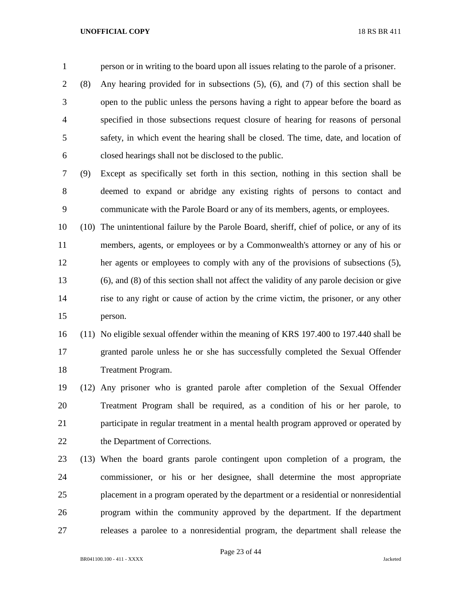person or in writing to the board upon all issues relating to the parole of a prisoner.

 (8) Any hearing provided for in subsections (5), (6), and (7) of this section shall be open to the public unless the persons having a right to appear before the board as specified in those subsections request closure of hearing for reasons of personal safety, in which event the hearing shall be closed. The time, date, and location of closed hearings shall not be disclosed to the public.

 (9) Except as specifically set forth in this section, nothing in this section shall be deemed to expand or abridge any existing rights of persons to contact and communicate with the Parole Board or any of its members, agents, or employees.

 (10) The unintentional failure by the Parole Board, sheriff, chief of police, or any of its members, agents, or employees or by a Commonwealth's attorney or any of his or her agents or employees to comply with any of the provisions of subsections (5), (6), and (8) of this section shall not affect the validity of any parole decision or give rise to any right or cause of action by the crime victim, the prisoner, or any other person.

 (11) No eligible sexual offender within the meaning of KRS 197.400 to 197.440 shall be granted parole unless he or she has successfully completed the Sexual Offender Treatment Program.

 (12) Any prisoner who is granted parole after completion of the Sexual Offender Treatment Program shall be required, as a condition of his or her parole, to participate in regular treatment in a mental health program approved or operated by the Department of Corrections.

 (13) When the board grants parole contingent upon completion of a program, the commissioner, or his or her designee, shall determine the most appropriate placement in a program operated by the department or a residential or nonresidential program within the community approved by the department. If the department releases a parolee to a nonresidential program, the department shall release the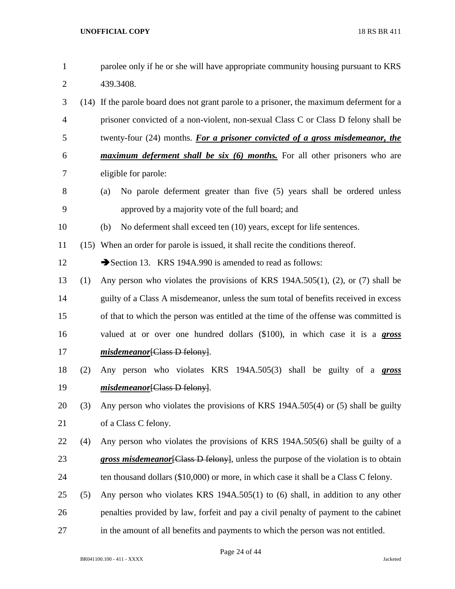| $\mathbf{1}$   |     | parolee only if he or she will have appropriate community housing pursuant to KRS         |
|----------------|-----|-------------------------------------------------------------------------------------------|
| $\overline{2}$ |     | 439.3408.                                                                                 |
| 3              |     | (14) If the parole board does not grant parole to a prisoner, the maximum deferment for a |
| $\overline{4}$ |     | prisoner convicted of a non-violent, non-sexual Class C or Class D felony shall be        |
| 5              |     | twenty-four (24) months. For a prisoner convicted of a gross misdemeanor, the             |
| 6              |     | <i>maximum deferment shall be six (6) months.</i> For all other prisoners who are         |
| 7              |     | eligible for parole:                                                                      |
| 8              |     | No parole deferment greater than five (5) years shall be ordered unless<br>(a)            |
| 9              |     | approved by a majority vote of the full board; and                                        |
| 10             |     | No deferment shall exceed ten (10) years, except for life sentences.<br>(b)               |
| 11             |     | (15) When an order for parole is issued, it shall recite the conditions thereof.          |
| 12             |     | Section 13. KRS 194A.990 is amended to read as follows:                                   |
| 13             | (1) | Any person who violates the provisions of KRS 194A.505(1), (2), or (7) shall be           |
| 14             |     | guilty of a Class A misdemeanor, unless the sum total of benefits received in excess      |
| 15             |     | of that to which the person was entitled at the time of the offense was committed is      |
| 16             |     | valued at or over one hundred dollars (\$100), in which case it is a gross                |
| 17             |     | misdemeanor[Class D felony].                                                              |
| 18             | (2) | Any person who violates KRS 194A.505(3) shall be guilty of a gross                        |
| 19             |     | <i>misdemeanor</i> [Class D felony].                                                      |
| 20             | (3) | Any person who violates the provisions of KRS 194A.505(4) or (5) shall be guilty          |
| 21             |     | of a Class C felony.                                                                      |
| 22             | (4) | Any person who violates the provisions of KRS 194A.505(6) shall be guilty of a            |
| 23             |     | gross misdemeanor [Class D felony], unless the purpose of the violation is to obtain      |
| 24             |     | ten thousand dollars (\$10,000) or more, in which case it shall be a Class C felony.      |
| 25             | (5) | Any person who violates KRS 194A.505(1) to (6) shall, in addition to any other            |
| 26             |     | penalties provided by law, forfeit and pay a civil penalty of payment to the cabinet      |
| 27             |     | in the amount of all benefits and payments to which the person was not entitled.          |

Page 24 of 44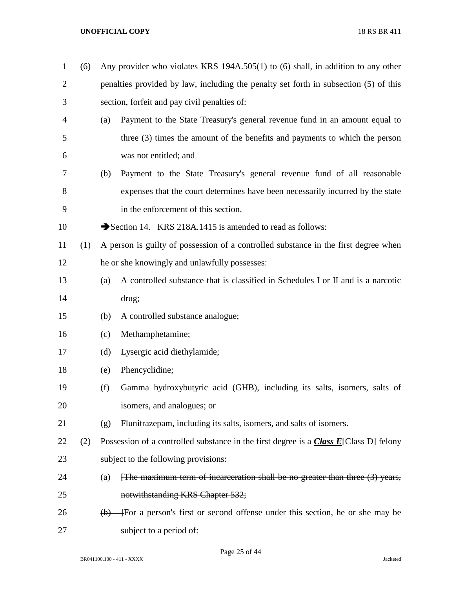| $\mathbf{1}$ | (6) |                           | Any provider who violates KRS 194A.505(1) to (6) shall, in addition to any other        |
|--------------|-----|---------------------------|-----------------------------------------------------------------------------------------|
| $\mathbf{2}$ |     |                           | penalties provided by law, including the penalty set forth in subsection (5) of this    |
| 3            |     |                           | section, forfeit and pay civil penalties of:                                            |
| 4            |     | (a)                       | Payment to the State Treasury's general revenue fund in an amount equal to              |
| 5            |     |                           | three (3) times the amount of the benefits and payments to which the person             |
| 6            |     |                           | was not entitled; and                                                                   |
| 7            |     | (b)                       | Payment to the State Treasury's general revenue fund of all reasonable                  |
| 8            |     |                           | expenses that the court determines have been necessarily incurred by the state          |
| 9            |     |                           | in the enforcement of this section.                                                     |
| 10           |     |                           | Section 14. KRS 218A.1415 is amended to read as follows:                                |
| 11           | (1) |                           | A person is guilty of possession of a controlled substance in the first degree when     |
| 12           |     |                           | he or she knowingly and unlawfully possesses:                                           |
| 13           |     | (a)                       | A controlled substance that is classified in Schedules I or II and is a narcotic        |
| 14           |     |                           | drug;                                                                                   |
| 15           |     | (b)                       | A controlled substance analogue;                                                        |
| 16           |     | (c)                       | Methamphetamine;                                                                        |
| 17           |     | (d)                       | Lysergic acid diethylamide;                                                             |
| 18           |     | (e)                       | Phencyclidine;                                                                          |
| 19           |     | (f)                       | Gamma hydroxybutyric acid (GHB), including its salts, isomers, salts of                 |
| 20           |     |                           | isomers, and analogues; or                                                              |
| 21           |     | (g)                       | Flunitrazepam, including its salts, isomers, and salts of isomers.                      |
| 22           | (2) |                           | Possession of a controlled substance in the first degree is a $Class E[Class D]$ felony |
| 23           |     |                           | subject to the following provisions:                                                    |
| 24           |     | (a)                       | [The maximum term of incarceration shall be no greater than three $(3)$ years,          |
| 25           |     |                           | notwithstanding KRS Chapter 532;                                                        |
| 26           |     | $\left(\mathbf{b}\right)$ | -For a person's first or second offense under this section, he or she may be            |
| 27           |     |                           | subject to a period of:                                                                 |

Page 25 of 44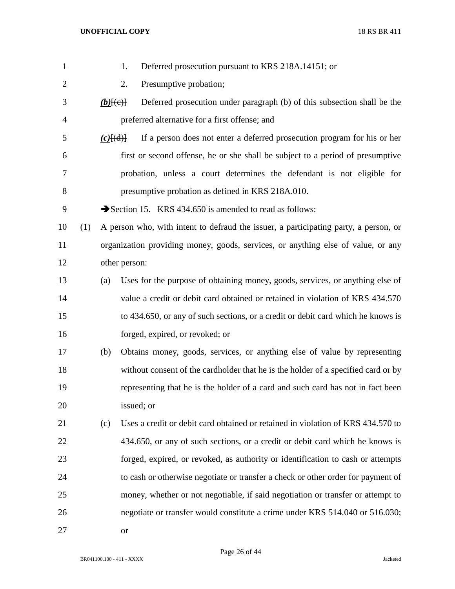| $\mathbf{1}$   |     |             | Deferred prosecution pursuant to KRS 218A.14151; or<br>1.                            |
|----------------|-----|-------------|--------------------------------------------------------------------------------------|
| $\overline{2}$ |     |             | Presumptive probation;<br>2.                                                         |
| 3              |     | $(b)$ [(e)] | Deferred prosecution under paragraph (b) of this subsection shall be the             |
| $\overline{4}$ |     |             | preferred alternative for a first offense; and                                       |
| 5              |     | $(c)$ $(d)$ | If a person does not enter a deferred prosecution program for his or her             |
| 6              |     |             | first or second offense, he or she shall be subject to a period of presumptive       |
| 7              |     |             | probation, unless a court determines the defendant is not eligible for               |
| 8              |     |             | presumptive probation as defined in KRS 218A.010.                                    |
| 9              |     |             | Section 15. KRS 434.650 is amended to read as follows:                               |
| 10             | (1) |             | A person who, with intent to defraud the issuer, a participating party, a person, or |
| 11             |     |             | organization providing money, goods, services, or anything else of value, or any     |
| 12             |     |             | other person:                                                                        |
| 13             |     | (a)         | Uses for the purpose of obtaining money, goods, services, or anything else of        |
| 14             |     |             | value a credit or debit card obtained or retained in violation of KRS 434.570        |
| 15             |     |             | to 434.650, or any of such sections, or a credit or debit card which he knows is     |
| 16             |     |             | forged, expired, or revoked; or                                                      |
| 17             |     | (b)         | Obtains money, goods, services, or anything else of value by representing            |
| 18             |     |             | without consent of the cardholder that he is the holder of a specified card or by    |
| 19             |     |             | representing that he is the holder of a card and such card has not in fact been      |
| 20             |     |             | issued; or                                                                           |
| 21             |     | (c)         | Uses a credit or debit card obtained or retained in violation of KRS 434.570 to      |
| 22             |     |             | 434.650, or any of such sections, or a credit or debit card which he knows is        |
| 23             |     |             | forged, expired, or revoked, as authority or identification to cash or attempts      |
| 24             |     |             | to cash or otherwise negotiate or transfer a check or other order for payment of     |
| 25             |     |             | money, whether or not negotiable, if said negotiation or transfer or attempt to      |
| 26             |     |             | negotiate or transfer would constitute a crime under KRS 514.040 or 516.030;         |
| 27             |     |             | <b>or</b>                                                                            |

Page 26 of 44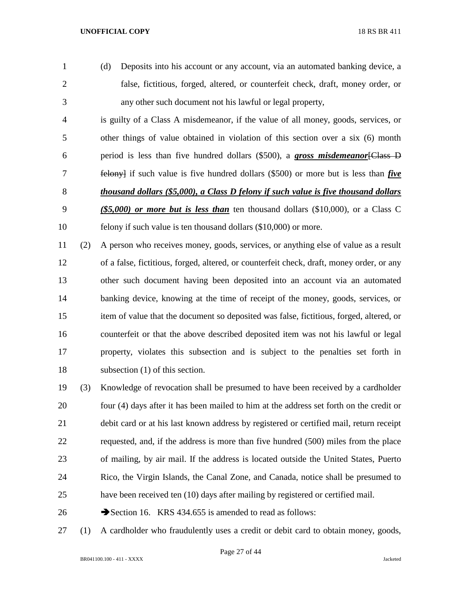(d) Deposits into his account or any account, via an automated banking device, a false, fictitious, forged, altered, or counterfeit check, draft, money order, or any other such document not his lawful or legal property,

 is guilty of a Class A misdemeanor, if the value of all money, goods, services, or other things of value obtained in violation of this section over a six (6) month period is less than five hundred dollars (\$500), a *gross misdemeanor*[Class D felony] if such value is five hundred dollars (\$500) or more but is less than *five thousand dollars (\$5,000), a Class D felony if such value is five thousand dollars (\$5,000) or more but is less than* ten thousand dollars (\$10,000), or a Class C felony if such value is ten thousand dollars (\$10,000) or more.

 (2) A person who receives money, goods, services, or anything else of value as a result of a false, fictitious, forged, altered, or counterfeit check, draft, money order, or any other such document having been deposited into an account via an automated banking device, knowing at the time of receipt of the money, goods, services, or item of value that the document so deposited was false, fictitious, forged, altered, or counterfeit or that the above described deposited item was not his lawful or legal property, violates this subsection and is subject to the penalties set forth in subsection (1) of this section.

 (3) Knowledge of revocation shall be presumed to have been received by a cardholder four (4) days after it has been mailed to him at the address set forth on the credit or debit card or at his last known address by registered or certified mail, return receipt requested, and, if the address is more than five hundred (500) miles from the place of mailing, by air mail. If the address is located outside the United States, Puerto Rico, the Virgin Islands, the Canal Zone, and Canada, notice shall be presumed to have been received ten (10) days after mailing by registered or certified mail.

- 26 Section 16. KRS 434.655 is amended to read as follows:
- (1) A cardholder who fraudulently uses a credit or debit card to obtain money, goods,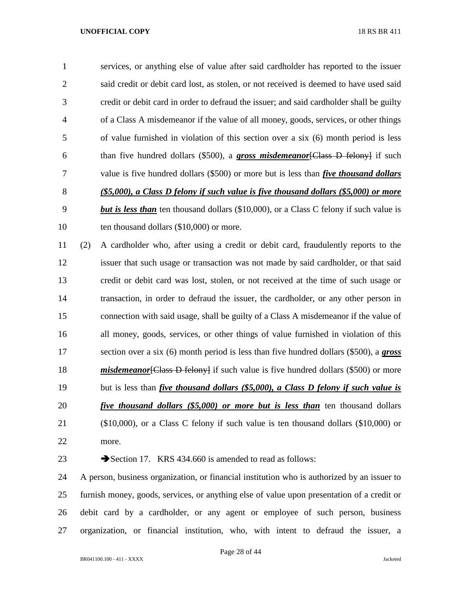services, or anything else of value after said cardholder has reported to the issuer said credit or debit card lost, as stolen, or not received is deemed to have used said credit or debit card in order to defraud the issuer; and said cardholder shall be guilty of a Class A misdemeanor if the value of all money, goods, services, or other things of value furnished in violation of this section over a six (6) month period is less than five hundred dollars (\$500), a *gross misdemeanor*[Class D felony] if such value is five hundred dollars (\$500) or more but is less than *five thousand dollars (\$5,000), a Class D felony if such value is five thousand dollars (\$5,000) or more but is less than* ten thousand dollars (\$10,000), or a Class C felony if such value is 10 ten thousand dollars (\$10,000) or more.

 (2) A cardholder who, after using a credit or debit card, fraudulently reports to the issuer that such usage or transaction was not made by said cardholder, or that said credit or debit card was lost, stolen, or not received at the time of such usage or transaction, in order to defraud the issuer, the cardholder, or any other person in connection with said usage, shall be guilty of a Class A misdemeanor if the value of all money, goods, services, or other things of value furnished in violation of this section over a six (6) month period is less than five hundred dollars (\$500), a *gross misdemeanor* [Class D felony] if such value is five hundred dollars (\$500) or more but is less than *five thousand dollars (\$5,000), a Class D felony if such value is five thousand dollars (\$5,000) or more but is less than* ten thousand dollars (\$10,000), or a Class C felony if such value is ten thousand dollars (\$10,000) or more.

23 Section 17. KRS 434.660 is amended to read as follows:

 A person, business organization, or financial institution who is authorized by an issuer to furnish money, goods, services, or anything else of value upon presentation of a credit or debit card by a cardholder, or any agent or employee of such person, business organization, or financial institution, who, with intent to defraud the issuer, a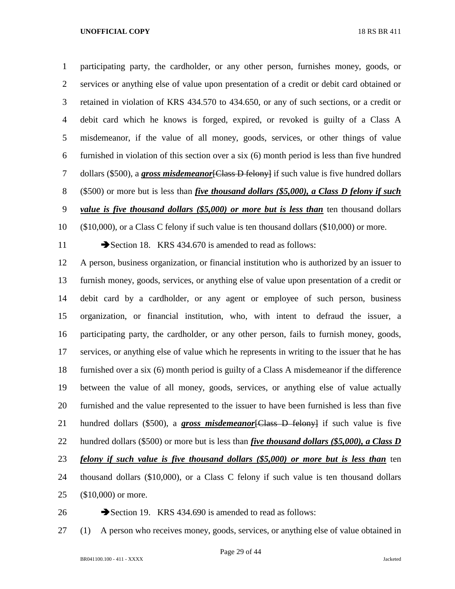participating party, the cardholder, or any other person, furnishes money, goods, or services or anything else of value upon presentation of a credit or debit card obtained or retained in violation of KRS 434.570 to 434.650, or any of such sections, or a credit or debit card which he knows is forged, expired, or revoked is guilty of a Class A misdemeanor, if the value of all money, goods, services, or other things of value furnished in violation of this section over a six (6) month period is less than five hundred 7 dollars (\$500), a **gross misdemeanor** [Class D felony] if such value is five hundred dollars (\$500) or more but is less than *five thousand dollars (\$5,000), a Class D felony if such* 

*value is five thousand dollars (\$5,000) or more but is less than* ten thousand dollars

(\$10,000), or a Class C felony if such value is ten thousand dollars (\$10,000) or more.

11 Section 18. KRS 434.670 is amended to read as follows:

 A person, business organization, or financial institution who is authorized by an issuer to furnish money, goods, services, or anything else of value upon presentation of a credit or debit card by a cardholder, or any agent or employee of such person, business organization, or financial institution, who, with intent to defraud the issuer, a participating party, the cardholder, or any other person, fails to furnish money, goods, services, or anything else of value which he represents in writing to the issuer that he has furnished over a six (6) month period is guilty of a Class A misdemeanor if the difference between the value of all money, goods, services, or anything else of value actually furnished and the value represented to the issuer to have been furnished is less than five hundred dollars (\$500), a *gross misdemeanor*[Class D felony] if such value is five hundred dollars (\$500) or more but is less than *five thousand dollars (\$5,000), a Class D felony if such value is five thousand dollars (\$5,000) or more but is less than* ten thousand dollars (\$10,000), or a Class C felony if such value is ten thousand dollars (\$10,000) or more.

26 Section 19. KRS 434.690 is amended to read as follows:

(1) A person who receives money, goods, services, or anything else of value obtained in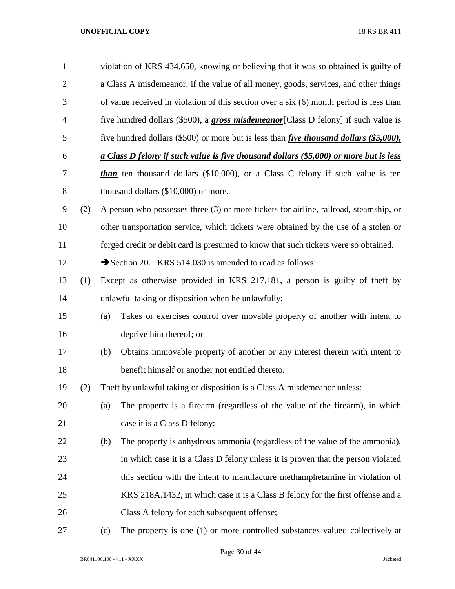| $\mathbf{1}$   |     |     | violation of KRS 434.650, knowing or believing that it was so obtained is guilty of            |
|----------------|-----|-----|------------------------------------------------------------------------------------------------|
| $\overline{2}$ |     |     | a Class A misdemeanor, if the value of all money, goods, services, and other things            |
| 3              |     |     | of value received in violation of this section over a six (6) month period is less than        |
| $\overline{4}$ |     |     | five hundred dollars (\$500), a <b>gross misdemeanor</b> [Class D felony] if such value is     |
| 5              |     |     | five hundred dollars (\$500) or more but is less than <i>five thousand dollars (\$5,000)</i> , |
| 6              |     |     | a Class D felony if such value is five thousand dollars (\$5,000) or more but is less          |
| 7              |     |     | than ten thousand dollars (\$10,000), or a Class C felony if such value is ten                 |
| 8              |     |     | thousand dollars (\$10,000) or more.                                                           |
| 9              | (2) |     | A person who possesses three (3) or more tickets for airline, railroad, steamship, or          |
| 10             |     |     | other transportation service, which tickets were obtained by the use of a stolen or            |
| 11             |     |     | forged credit or debit card is presumed to know that such tickets were so obtained.            |
| 12             |     |     | Section 20. KRS 514.030 is amended to read as follows:                                         |
| 13             | (1) |     | Except as otherwise provided in KRS 217.181, a person is guilty of theft by                    |
| 14             |     |     | unlawful taking or disposition when he unlawfully:                                             |
| 15             |     | (a) | Takes or exercises control over movable property of another with intent to                     |
| 16             |     |     | deprive him thereof; or                                                                        |
| 17             |     | (b) | Obtains immovable property of another or any interest therein with intent to                   |
| 18             |     |     | benefit himself or another not entitled thereto.                                               |
| 19             | (2) |     | Theft by unlawful taking or disposition is a Class A misdemeanor unless:                       |
| 20             |     | (a) | The property is a firearm (regardless of the value of the firearm), in which                   |
| 21             |     |     | case it is a Class D felony;                                                                   |
| 22             |     | (b) | The property is anhydrous ammonia (regardless of the value of the ammonia),                    |
| 23             |     |     | in which case it is a Class D felony unless it is proven that the person violated              |
| 24             |     |     | this section with the intent to manufacture methamphetamine in violation of                    |
| 25             |     |     | KRS 218A.1432, in which case it is a Class B felony for the first offense and a                |
| 26             |     |     | Class A felony for each subsequent offense;                                                    |
| 27             |     | (c) | The property is one (1) or more controlled substances valued collectively at                   |

BR041100.100 - 411 - XXXX Jacketed

Page 30 of 44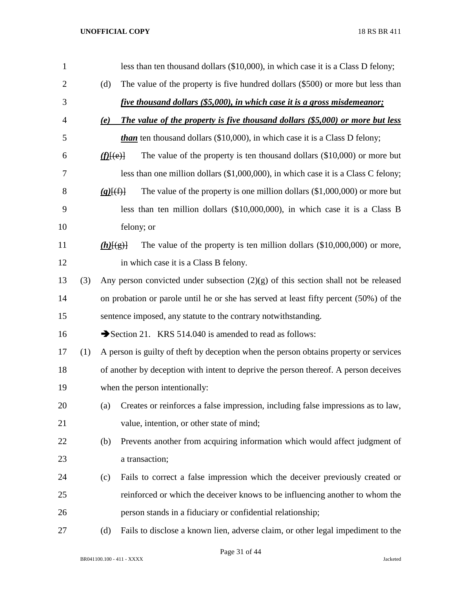| 1              |     |                                  | less than ten thousand dollars (\$10,000), in which case it is a Class D felony;      |
|----------------|-----|----------------------------------|---------------------------------------------------------------------------------------|
| $\overline{2}$ |     | (d)                              | The value of the property is five hundred dollars (\$500) or more but less than       |
| 3              |     |                                  | five thousand dollars (\$5,000), in which case it is a gross misdemeanor;             |
| 4              |     | (e)                              | The value of the property is five thousand dollars (\$5,000) or more but less         |
| 5              |     |                                  | <i>than</i> ten thousand dollars $(\$10,000)$ , in which case it is a Class D felony; |
| 6              |     | $f(\underline{f}(\underline{e})$ | The value of the property is ten thousand dollars $(\$10,000)$ or more but            |
| 7              |     |                                  | less than one million dollars (\$1,000,000), in which case it is a Class C felony;    |
| 8              |     | $(g)$ $\{(\text{f})\}$           | The value of the property is one million dollars $(\$1,000,000)$ or more but          |
| 9              |     |                                  | less than ten million dollars (\$10,000,000), in which case it is a Class B           |
| 10             |     |                                  | felony; or                                                                            |
| 11             |     | $(h)$ [(g)]                      | The value of the property is ten million dollars $(\$10,000,000)$ or more,            |
| 12             |     |                                  | in which case it is a Class B felony.                                                 |
| 13             | (3) |                                  | Any person convicted under subsection $(2)(g)$ of this section shall not be released  |
| 14             |     |                                  | on probation or parole until he or she has served at least fifty percent (50%) of the |
| 15             |     |                                  | sentence imposed, any statute to the contrary notwithstanding.                        |
| 16             |     |                                  | Section 21. KRS 514.040 is amended to read as follows:                                |
| 17             | (1) |                                  | A person is guilty of theft by deception when the person obtains property or services |
| 18             |     |                                  | of another by deception with intent to deprive the person thereof. A person deceives  |
| 19             |     |                                  | when the person intentionally:                                                        |
| 20             |     | (a)                              | Creates or reinforces a false impression, including false impressions as to law,      |
| 21             |     |                                  | value, intention, or other state of mind;                                             |
| 22             |     | (b)                              | Prevents another from acquiring information which would affect judgment of            |
| 23             |     |                                  | a transaction;                                                                        |
| 24             |     | (c)                              | Fails to correct a false impression which the deceiver previously created or          |
| 25             |     |                                  | reinforced or which the deceiver knows to be influencing another to whom the          |
| 26             |     |                                  | person stands in a fiduciary or confidential relationship;                            |
| 27             |     | (d)                              | Fails to disclose a known lien, adverse claim, or other legal impediment to the       |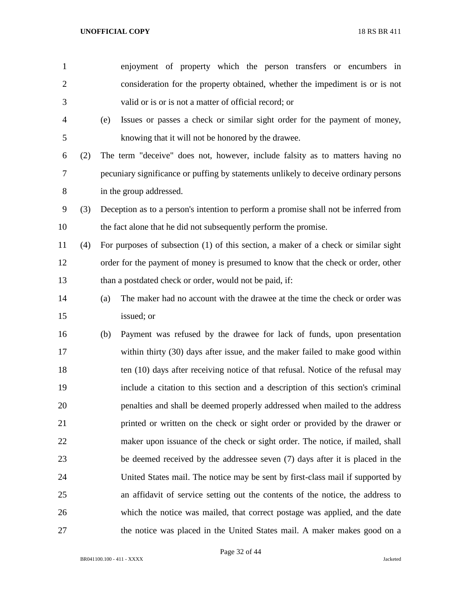| $\mathbf{1}$   |     |     | enjoyment of property which the person transfers or encumbers in                     |
|----------------|-----|-----|--------------------------------------------------------------------------------------|
| $\overline{2}$ |     |     | consideration for the property obtained, whether the impediment is or is not         |
| 3              |     |     | valid or is or is not a matter of official record; or                                |
| 4              |     | (e) | Issues or passes a check or similar sight order for the payment of money,            |
| 5              |     |     | knowing that it will not be honored by the drawee.                                   |
| 6              | (2) |     | The term "deceive" does not, however, include falsity as to matters having no        |
| 7              |     |     | pecuniary significance or puffing by statements unlikely to deceive ordinary persons |
| 8              |     |     | in the group addressed.                                                              |
| 9              | (3) |     | Deception as to a person's intention to perform a promise shall not be inferred from |
| 10             |     |     | the fact alone that he did not subsequently perform the promise.                     |
| 11             | (4) |     | For purposes of subsection (1) of this section, a maker of a check or similar sight  |
| 12             |     |     | order for the payment of money is presumed to know that the check or order, other    |
| 13             |     |     | than a postdated check or order, would not be paid, if:                              |
| 14             |     | (a) | The maker had no account with the drawee at the time the check or order was          |
| 15             |     |     | issued; or                                                                           |
| 16             |     | (b) | Payment was refused by the drawee for lack of funds, upon presentation               |
| 17             |     |     | within thirty (30) days after issue, and the maker failed to make good within        |
| 18             |     |     | ten (10) days after receiving notice of that refusal. Notice of the refusal may      |
| 19             |     |     | include a citation to this section and a description of this section's criminal      |
| 20             |     |     | penalties and shall be deemed properly addressed when mailed to the address          |
| 21             |     |     | printed or written on the check or sight order or provided by the drawer or          |
| 22             |     |     | maker upon issuance of the check or sight order. The notice, if mailed, shall        |
| 23             |     |     | be deemed received by the addressee seven (7) days after it is placed in the         |
| 24             |     |     | United States mail. The notice may be sent by first-class mail if supported by       |
| 25             |     |     | an affidavit of service setting out the contents of the notice, the address to       |
| 26             |     |     | which the notice was mailed, that correct postage was applied, and the date          |
| 27             |     |     | the notice was placed in the United States mail. A maker makes good on a             |

Page 32 of 44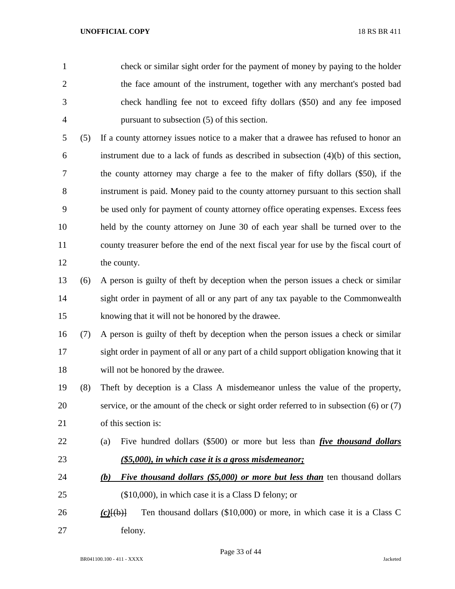check or similar sight order for the payment of money by paying to the holder the face amount of the instrument, together with any merchant's posted bad check handling fee not to exceed fifty dollars (\$50) and any fee imposed pursuant to subsection (5) of this section.

 (5) If a county attorney issues notice to a maker that a drawee has refused to honor an instrument due to a lack of funds as described in subsection (4)(b) of this section, the county attorney may charge a fee to the maker of fifty dollars (\$50), if the instrument is paid. Money paid to the county attorney pursuant to this section shall be used only for payment of county attorney office operating expenses. Excess fees held by the county attorney on June 30 of each year shall be turned over to the county treasurer before the end of the next fiscal year for use by the fiscal court of the county.

 (6) A person is guilty of theft by deception when the person issues a check or similar sight order in payment of all or any part of any tax payable to the Commonwealth knowing that it will not be honored by the drawee.

 (7) A person is guilty of theft by deception when the person issues a check or similar sight order in payment of all or any part of a child support obligation knowing that it will not be honored by the drawee.

- (8) Theft by deception is a Class A misdemeanor unless the value of the property, service, or the amount of the check or sight order referred to in subsection (6) or (7) of this section is:
- (a) Five hundred dollars (\$500) or more but less than *five thousand dollars (\$5,000), in which case it is a gross misdemeanor;*
- *(b) Five thousand dollars (\$5,000) or more but less than* ten thousand dollars (\$10,000), in which case it is a Class D felony; or
- *(c)*[(b)] Ten thousand dollars (\$10,000) or more, in which case it is a Class C felony.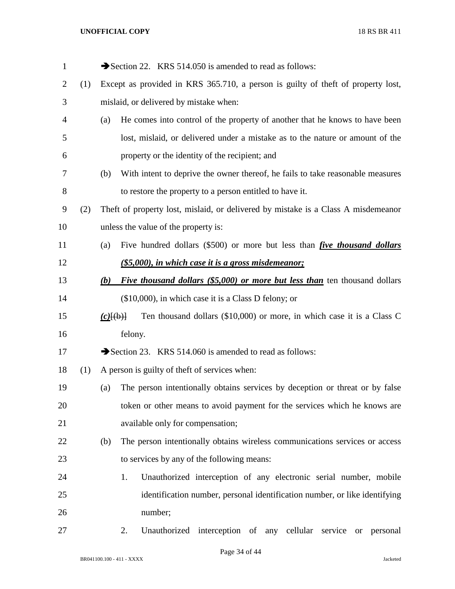| $\mathbf{1}$ |     |                    | Section 22. KRS 514.050 is amended to read as follows:                            |
|--------------|-----|--------------------|-----------------------------------------------------------------------------------|
| 2            | (1) |                    | Except as provided in KRS 365.710, a person is guilty of theft of property lost,  |
| 3            |     |                    | mislaid, or delivered by mistake when:                                            |
| 4            |     | (a)                | He comes into control of the property of another that he knows to have been       |
| 5            |     |                    | lost, mislaid, or delivered under a mistake as to the nature or amount of the     |
| 6            |     |                    | property or the identity of the recipient; and                                    |
| 7            |     | (b)                | With intent to deprive the owner thereof, he fails to take reasonable measures    |
| 8            |     |                    | to restore the property to a person entitled to have it.                          |
| 9            | (2) |                    | Theft of property lost, mislaid, or delivered by mistake is a Class A misdemeanor |
| 10           |     |                    | unless the value of the property is:                                              |
| 11           |     | (a)                | Five hundred dollars (\$500) or more but less than <i>five thousand dollars</i>   |
| 12           |     |                    | (\$5,000), in which case it is a gross misdemeanor;                               |
| 13           |     | (b)                | <i>Five thousand dollars (\$5,000) or more but less than</i> ten thousand dollars |
| 14           |     |                    | $($10,000)$ , in which case it is a Class D felony; or                            |
| 15           |     | $(c)$ $(\theta)$ } | Ten thousand dollars (\$10,000) or more, in which case it is a Class C            |
| 16           |     |                    | felony.                                                                           |
| 17           |     |                    | Section 23. KRS 514.060 is amended to read as follows:                            |
| 18           | (1) |                    | A person is guilty of theft of services when:                                     |
| 19           |     | (a)                | The person intentionally obtains services by deception or threat or by false      |
| 20           |     |                    | token or other means to avoid payment for the services which he knows are         |
| 21           |     |                    | available only for compensation;                                                  |
| 22           |     | (b)                | The person intentionally obtains wireless communications services or access       |
| 23           |     |                    | to services by any of the following means:                                        |
| 24           |     |                    | Unauthorized interception of any electronic serial number, mobile<br>1.           |
| 25           |     |                    | identification number, personal identification number, or like identifying        |
| 26           |     |                    | number;                                                                           |
| 27           |     |                    | Unauthorized interception of any cellular service or personal<br>2.               |

Page 34 of 44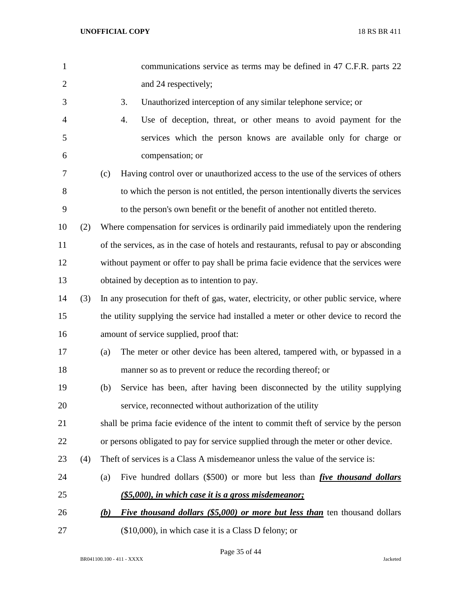| $\mathbf{1}$   |     |     | communications service as terms may be defined in 47 C.F.R. parts 22                    |
|----------------|-----|-----|-----------------------------------------------------------------------------------------|
| $\overline{2}$ |     |     | and 24 respectively;                                                                    |
| 3              |     |     | Unauthorized interception of any similar telephone service; or<br>3.                    |
| $\overline{4}$ |     |     | Use of deception, threat, or other means to avoid payment for the<br>4.                 |
| 5              |     |     | services which the person knows are available only for charge or                        |
| 6              |     |     | compensation; or                                                                        |
| 7              |     | (c) | Having control over or unauthorized access to the use of the services of others         |
| 8              |     |     | to which the person is not entitled, the person intentionally diverts the services      |
| 9              |     |     | to the person's own benefit or the benefit of another not entitled thereto.             |
| 10             | (2) |     | Where compensation for services is ordinarily paid immediately upon the rendering       |
| 11             |     |     | of the services, as in the case of hotels and restaurants, refusal to pay or absconding |
| 12             |     |     | without payment or offer to pay shall be prima facie evidence that the services were    |
| 13             |     |     | obtained by deception as to intention to pay.                                           |
| 14             | (3) |     | In any prosecution for theft of gas, water, electricity, or other public service, where |
| 15             |     |     | the utility supplying the service had installed a meter or other device to record the   |
| 16             |     |     | amount of service supplied, proof that:                                                 |
| 17             |     | (a) | The meter or other device has been altered, tampered with, or bypassed in a             |
| 18             |     |     | manner so as to prevent or reduce the recording thereof; or                             |
| 19             |     | (b) | Service has been, after having been disconnected by the utility supplying               |
| 20             |     |     | service, reconnected without authorization of the utility                               |
| 21             |     |     | shall be prima facie evidence of the intent to commit theft of service by the person    |
| 22             |     |     | or persons obligated to pay for service supplied through the meter or other device.     |
| 23             | (4) |     | Theft of services is a Class A misdemeanor unless the value of the service is:          |
| 24             |     | (a) | Five hundred dollars (\$500) or more but less than <i>five thousand dollars</i>         |
| 25             |     |     | (\$5,000), in which case it is a gross misdemeanor;                                     |
| 26             |     | (b) | <i>Five thousand dollars (\$5,000) or more but less than</i> ten thousand dollars       |
| 27             |     |     | (\$10,000), in which case it is a Class D felony; or                                    |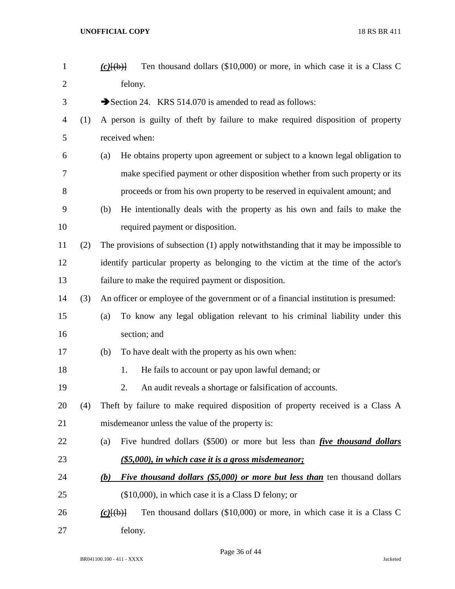| $\mathbf{1}$   |     | Ten thousand dollars (\$10,000) or more, in which case it is a Class C<br>$(c)$ [(b)]    |
|----------------|-----|------------------------------------------------------------------------------------------|
| $\overline{2}$ |     | felony.                                                                                  |
| 3              |     | Section 24. KRS 514.070 is amended to read as follows:                                   |
| 4              | (1) | A person is guilty of theft by failure to make required disposition of property          |
| 5              |     | received when:                                                                           |
| 6              |     | He obtains property upon agreement or subject to a known legal obligation to<br>(a)      |
| 7              |     | make specified payment or other disposition whether from such property or its            |
| 8              |     | proceeds or from his own property to be reserved in equivalent amount; and               |
| 9              |     | He intentionally deals with the property as his own and fails to make the<br>(b)         |
| 10             |     | required payment or disposition.                                                         |
| 11             | (2) | The provisions of subsection (1) apply notwithstanding that it may be impossible to      |
| 12             |     | identify particular property as belonging to the victim at the time of the actor's       |
| 13             |     | failure to make the required payment or disposition.                                     |
| 14             | (3) | An officer or employee of the government or of a financial institution is presumed:      |
| 15             |     | To know any legal obligation relevant to his criminal liability under this<br>(a)        |
| 16             |     | section; and                                                                             |
| 17             |     | To have dealt with the property as his own when:<br>(b)                                  |
| 18             |     | He fails to account or pay upon lawful demand; or<br>1.                                  |
| 19             |     | 2.<br>An audit reveals a shortage or falsification of accounts.                          |
| 20             | (4) | Theft by failure to make required disposition of property received is a Class A          |
| 21             |     | misdemeanor unless the value of the property is:                                         |
| 22             |     | Five hundred dollars (\$500) or more but less than <i>five thousand dollars</i><br>(a)   |
| 23             |     | $($ \$5,000), in which case it is a gross misdemeanor;                                   |
| 24             |     | <b>Five thousand dollars (\$5,000) or more but less than</b> ten thousand dollars<br>(b) |
| 25             |     | $($10,000)$ , in which case it is a Class D felony; or                                   |
| 26             |     | Ten thousand dollars (\$10,000) or more, in which case it is a Class C<br>$(c)$ [(b)]    |
| 27             |     | felony.                                                                                  |

Page 36 of 44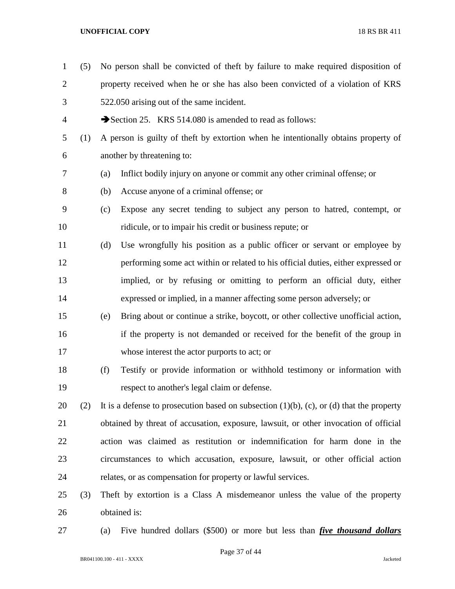(5) No person shall be convicted of theft by failure to make required disposition of property received when he or she has also been convicted of a violation of KRS 522.050 arising out of the same incident. 4 Section 25. KRS 514.080 is amended to read as follows: (1) A person is guilty of theft by extortion when he intentionally obtains property of another by threatening to: (a) Inflict bodily injury on anyone or commit any other criminal offense; or (b) Accuse anyone of a criminal offense; or (c) Expose any secret tending to subject any person to hatred, contempt, or ridicule, or to impair his credit or business repute; or (d) Use wrongfully his position as a public officer or servant or employee by performing some act within or related to his official duties, either expressed or implied, or by refusing or omitting to perform an official duty, either expressed or implied, in a manner affecting some person adversely; or (e) Bring about or continue a strike, boycott, or other collective unofficial action, if the property is not demanded or received for the benefit of the group in whose interest the actor purports to act; or (f) Testify or provide information or withhold testimony or information with respect to another's legal claim or defense. 20 (2) It is a defense to prosecution based on subsection  $(1)(b)$ ,  $(c)$ , or  $(d)$  that the property obtained by threat of accusation, exposure, lawsuit, or other invocation of official action was claimed as restitution or indemnification for harm done in the circumstances to which accusation, exposure, lawsuit, or other official action relates, or as compensation for property or lawful services. (3) Theft by extortion is a Class A misdemeanor unless the value of the property obtained is: (a) Five hundred dollars (\$500) or more but less than *five thousand dollars* 

Page 37 of 44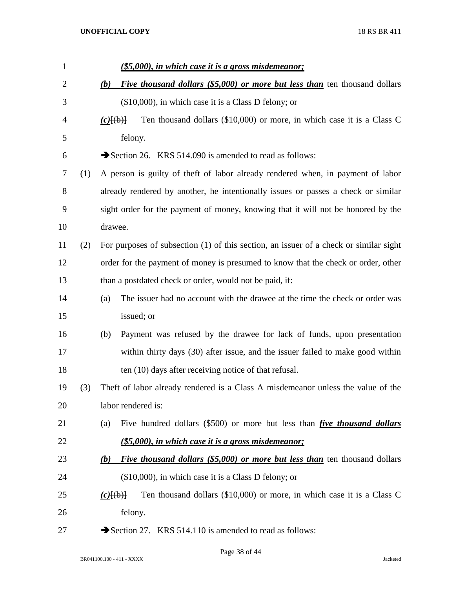| $\mathbf{1}$   |     | (\$5,000), in which case it is a gross misdemeanor;                                            |
|----------------|-----|------------------------------------------------------------------------------------------------|
| $\overline{2}$ |     | <i>Five thousand dollars (\$5,000) or more but less than ten thousand dollars</i><br>(b)       |
| 3              |     | $(\$10,000)$ , in which case it is a Class D felony; or                                        |
| 4              |     | Ten thousand dollars (\$10,000) or more, in which case it is a Class C<br>$(c)$ [(b)]          |
| 5              |     | felony.                                                                                        |
| 6              |     | Section 26. KRS 514.090 is amended to read as follows:                                         |
| 7              | (1) | A person is guilty of theft of labor already rendered when, in payment of labor                |
| 8              |     | already rendered by another, he intentionally issues or passes a check or similar              |
| 9              |     | sight order for the payment of money, knowing that it will not be honored by the               |
| 10             |     | drawee.                                                                                        |
| 11             | (2) | For purposes of subsection (1) of this section, an issuer of a check or similar sight          |
| 12             |     | order for the payment of money is presumed to know that the check or order, other              |
| 13             |     | than a postdated check or order, would not be paid, if:                                        |
| 14             |     | The issuer had no account with the drawee at the time the check or order was<br>(a)            |
| 15             |     | issued; or                                                                                     |
| 16             |     | Payment was refused by the drawee for lack of funds, upon presentation<br>(b)                  |
| 17             |     | within thirty days (30) after issue, and the issuer failed to make good within                 |
| 18             |     | ten (10) days after receiving notice of that refusal.                                          |
| 19             | (3) | Theft of labor already rendered is a Class A misdemeanor unless the value of the               |
| 20             |     | labor rendered is:                                                                             |
| 21             |     | Five hundred dollars (\$500) or more but less than <i>five thousand dollars</i><br>(a)         |
| 22             |     | (\$5,000), in which case it is a gross misdemeanor;                                            |
| 23             |     | <i>Five thousand dollars (\$5,000) or more but less than</i> ten thousand dollars<br>(b)       |
| 24             |     | $(\$10,000)$ , in which case it is a Class D felony; or                                        |
| 25             |     | Ten thousand dollars (\$10,000) or more, in which case it is a Class C<br>$(c)$ $\{(\theta)\}$ |
| 26             |     | felony.                                                                                        |
| 27             |     | Section 27. KRS 514.110 is amended to read as follows:                                         |

Page 38 of 44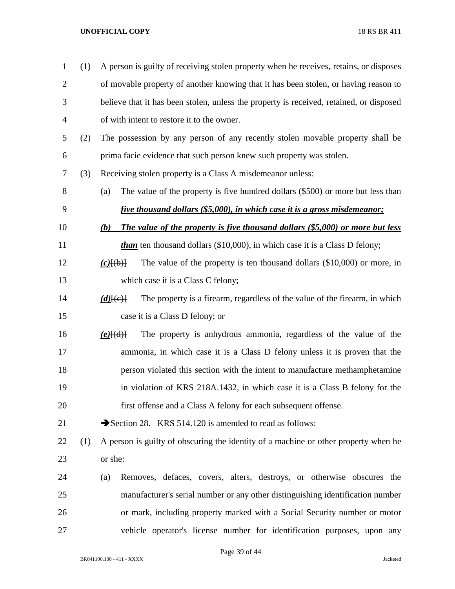| $\mathbf{1}$   | (1) | A person is guilty of receiving stolen property when he receives, retains, or disposes         |
|----------------|-----|------------------------------------------------------------------------------------------------|
| $\overline{2}$ |     | of movable property of another knowing that it has been stolen, or having reason to            |
| 3              |     | believe that it has been stolen, unless the property is received, retained, or disposed        |
| 4              |     | of with intent to restore it to the owner.                                                     |
| 5              | (2) | The possession by any person of any recently stolen movable property shall be                  |
| 6              |     | prima facie evidence that such person knew such property was stolen.                           |
| 7              | (3) | Receiving stolen property is a Class A misdemeanor unless:                                     |
| 8              |     | The value of the property is five hundred dollars (\$500) or more but less than<br>(a)         |
| 9              |     | <u>five thousand dollars (\$5,000), in which case it is a gross misdemeanor;</u>               |
| 10             |     | The value of the property is five thousand dollars (\$5,000) or more but less<br>(b)           |
| 11             |     | <i>than</i> ten thousand dollars (\$10,000), in which case it is a Class D felony;             |
| 12             |     | The value of the property is ten thousand dollars $(\$10,000)$ or more, in<br>$(c)$ $(\theta)$ |
| 13             |     | which case it is a Class C felony;                                                             |
| 14             |     | The property is a firearm, regardless of the value of the firearm, in which<br>$(d)$ [(e)]     |
| 15             |     | case it is a Class D felony; or                                                                |
| 16             |     | The property is anhydrous ammonia, regardless of the value of the<br>$(e)$ [(d)]               |
| 17             |     | ammonia, in which case it is a Class D felony unless it is proven that the                     |
| 18             |     | person violated this section with the intent to manufacture methamphetamine                    |
| 19             |     | in violation of KRS 218A.1432, in which case it is a Class B felony for the                    |
| 20             |     | first offense and a Class A felony for each subsequent offense.                                |
| 21             |     | Section 28. KRS 514.120 is amended to read as follows:                                         |
| 22             | (1) | A person is guilty of obscuring the identity of a machine or other property when he            |
| 23             |     | or she:                                                                                        |
| 24             |     | Removes, defaces, covers, alters, destroys, or otherwise obscures the<br>(a)                   |
| 25             |     | manufacturer's serial number or any other distinguishing identification number                 |
| 26             |     | or mark, including property marked with a Social Security number or motor                      |
| 27             |     | vehicle operator's license number for identification purposes, upon any                        |

Page 39 of 44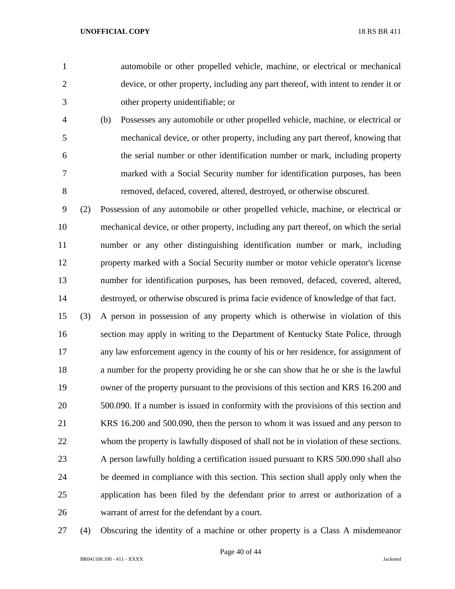automobile or other propelled vehicle, machine, or electrical or mechanical device, or other property, including any part thereof, with intent to render it or other property unidentifiable; or

 (b) Possesses any automobile or other propelled vehicle, machine, or electrical or mechanical device, or other property, including any part thereof, knowing that the serial number or other identification number or mark, including property marked with a Social Security number for identification purposes, has been removed, defaced, covered, altered, destroyed, or otherwise obscured.

 (2) Possession of any automobile or other propelled vehicle, machine, or electrical or mechanical device, or other property, including any part thereof, on which the serial number or any other distinguishing identification number or mark, including property marked with a Social Security number or motor vehicle operator's license number for identification purposes, has been removed, defaced, covered, altered, destroyed, or otherwise obscured is prima facie evidence of knowledge of that fact.

 (3) A person in possession of any property which is otherwise in violation of this section may apply in writing to the Department of Kentucky State Police, through any law enforcement agency in the county of his or her residence, for assignment of a number for the property providing he or she can show that he or she is the lawful owner of the property pursuant to the provisions of this section and KRS 16.200 and 500.090. If a number is issued in conformity with the provisions of this section and KRS 16.200 and 500.090, then the person to whom it was issued and any person to whom the property is lawfully disposed of shall not be in violation of these sections. A person lawfully holding a certification issued pursuant to KRS 500.090 shall also be deemed in compliance with this section. This section shall apply only when the application has been filed by the defendant prior to arrest or authorization of a warrant of arrest for the defendant by a court.

(4) Obscuring the identity of a machine or other property is a Class A misdemeanor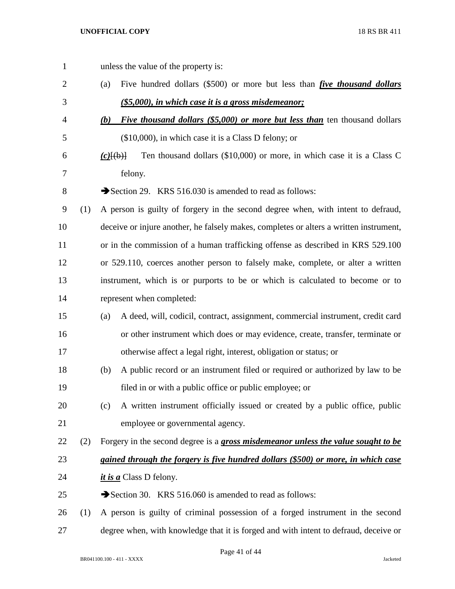unless the value of the property is: (a) Five hundred dollars (\$500) or more but less than *five thousand dollars (\$5,000), in which case it is a gross misdemeanor; (b) Five thousand dollars (\$5,000) or more but less than* ten thousand dollars (\$10,000), in which case it is a Class D felony; or *(c)*[(b)] Ten thousand dollars (\$10,000) or more, in which case it is a Class C felony. 8 Section 29. KRS 516.030 is amended to read as follows: (1) A person is guilty of forgery in the second degree when, with intent to defraud, deceive or injure another, he falsely makes, completes or alters a written instrument, 11 or in the commission of a human trafficking offense as described in KRS 529.100 or 529.110, coerces another person to falsely make, complete, or alter a written instrument, which is or purports to be or which is calculated to become or to represent when completed: (a) A deed, will, codicil, contract, assignment, commercial instrument, credit card or other instrument which does or may evidence, create, transfer, terminate or otherwise affect a legal right, interest, obligation or status; or (b) A public record or an instrument filed or required or authorized by law to be filed in or with a public office or public employee; or (c) A written instrument officially issued or created by a public office, public employee or governmental agency. (2) Forgery in the second degree is a *gross misdemeanor unless the value sought to be gained through the forgery is five hundred dollars (\$500) or more, in which case it is a* Class D felony. 25 Section 30. KRS 516.060 is amended to read as follows: (1) A person is guilty of criminal possession of a forged instrument in the second degree when, with knowledge that it is forged and with intent to defraud, deceive or

Page 41 of 44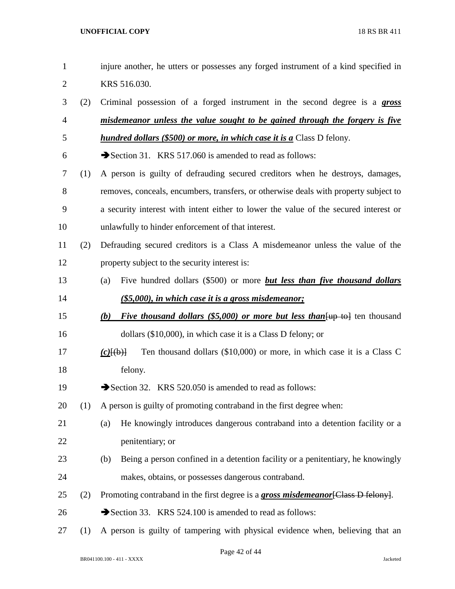| $\mathbf{1}$   |     | injure another, he utters or possesses any forged instrument of a kind specified in                 |
|----------------|-----|-----------------------------------------------------------------------------------------------------|
| $\overline{2}$ |     | KRS 516.030.                                                                                        |
| 3              | (2) | Criminal possession of a forged instrument in the second degree is a <b>gross</b>                   |
| $\overline{4}$ |     | misdemeanor unless the value sought to be gained through the forgery is five                        |
| 5              |     | <b>hundred dollars (\$500) or more, in which case it is a Class D felony.</b>                       |
| 6              |     | Section 31. KRS 517.060 is amended to read as follows:                                              |
| 7              | (1) | A person is guilty of defrauding secured creditors when he destroys, damages,                       |
| $8\,$          |     | removes, conceals, encumbers, transfers, or otherwise deals with property subject to                |
| 9              |     | a security interest with intent either to lower the value of the secured interest or                |
| 10             |     | unlawfully to hinder enforcement of that interest.                                                  |
| 11             | (2) | Defrauding secured creditors is a Class A misdemeanor unless the value of the                       |
| 12             |     | property subject to the security interest is:                                                       |
| 13             |     | Five hundred dollars (\$500) or more <i>but less than five thousand dollars</i><br>(a)              |
| 14             |     | (\$5,000), in which case it is a gross misdemeanor;                                                 |
| 15             |     | <i>Five thousand dollars (\$5,000) or more but less than</i> $\{\text{up to}\}$ ten thousand<br>(b) |
| 16             |     | dollars $(\$10,000)$ , in which case it is a Class D felony; or                                     |
| 17             |     | Ten thousand dollars (\$10,000) or more, in which case it is a Class C<br>$(c)$ $\{(\theta)\}$      |
| 18             |     | felony.                                                                                             |
| 19             |     | Section 32. KRS 520.050 is amended to read as follows:                                              |
| 20             | (1) | A person is guilty of promoting contraband in the first degree when:                                |
| 21             |     | He knowingly introduces dangerous contraband into a detention facility or a<br>(a)                  |
| 22             |     | penitentiary; or                                                                                    |
| 23             |     | Being a person confined in a detention facility or a penitentiary, he knowingly<br>(b)              |
| 24             |     | makes, obtains, or possesses dangerous contraband.                                                  |
| 25             | (2) | Promoting contraband in the first degree is a <b>gross misdemeanor</b> [Class D felony].            |
| 26             |     | Section 33. KRS 524.100 is amended to read as follows:                                              |
| 27             | (1) | A person is guilty of tampering with physical evidence when, believing that an                      |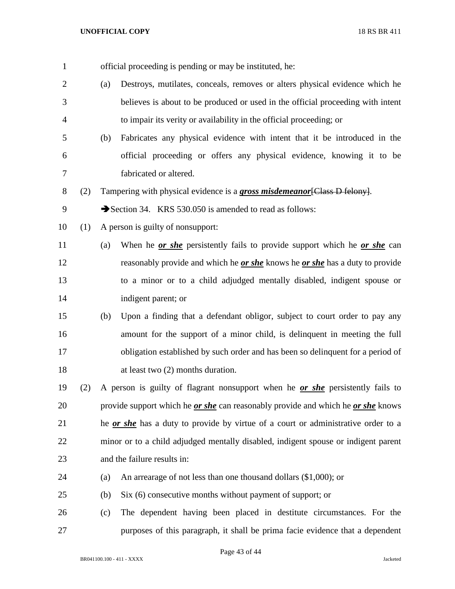| $\mathbf{1}$   |     |     | official proceeding is pending or may be instituted, he:                                       |
|----------------|-----|-----|------------------------------------------------------------------------------------------------|
| $\overline{2}$ |     | (a) | Destroys, mutilates, conceals, removes or alters physical evidence which he                    |
| 3              |     |     | believes is about to be produced or used in the official proceeding with intent                |
| 4              |     |     | to impair its verity or availability in the official proceeding; or                            |
| 5              |     | (b) | Fabricates any physical evidence with intent that it be introduced in the                      |
| 6              |     |     | official proceeding or offers any physical evidence, knowing it to be                          |
| 7              |     |     | fabricated or altered.                                                                         |
| 8              | (2) |     | Tampering with physical evidence is a gross misdemeanor [Class D felony].                      |
| 9              |     |     | Section 34. KRS 530.050 is amended to read as follows:                                         |
| 10             | (1) |     | A person is guilty of nonsupport:                                                              |
| 11             |     | (a) | When he <u>or she</u> persistently fails to provide support which he <u>or she</u> can         |
| 12             |     |     | reasonably provide and which he <i>or she</i> knows he <i>or she</i> has a duty to provide     |
| 13             |     |     | to a minor or to a child adjudged mentally disabled, indigent spouse or                        |
| 14             |     |     | indigent parent; or                                                                            |
| 15             |     | (b) | Upon a finding that a defendant obligor, subject to court order to pay any                     |
| 16             |     |     | amount for the support of a minor child, is delinquent in meeting the full                     |
| 17             |     |     | obligation established by such order and has been so delinquent for a period of                |
| 18             |     |     | at least two $(2)$ months duration.                                                            |
| 19             | (2) |     | A person is guilty of flagrant nonsupport when he or she persistently fails to                 |
| 20             |     |     | provide support which he <i>or she</i> can reasonably provide and which he <i>or she</i> knows |
| 21             |     |     | he or she has a duty to provide by virtue of a court or administrative order to a              |
| 22             |     |     | minor or to a child adjudged mentally disabled, indigent spouse or indigent parent             |
| 23             |     |     | and the failure results in:                                                                    |
| 24             |     | (a) | An arrearage of not less than one thousand dollars $(\$1,000)$ ; or                            |
| 25             |     | (b) | Six (6) consecutive months without payment of support; or                                      |
| 26             |     | (c) | The dependent having been placed in destitute circumstances. For the                           |
| 27             |     |     | purposes of this paragraph, it shall be prima facie evidence that a dependent                  |

Page 43 of 44